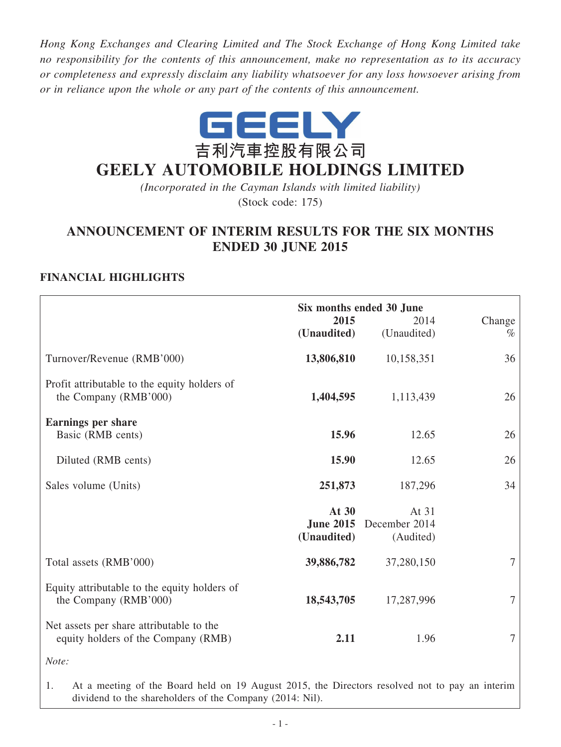*Hong Kong Exchanges and Clearing Limited and The Stock Exchange of Hong Kong Limited take no responsibility for the contents of this announcement, make no representation as to its accuracy or completeness and expressly disclaim any liability whatsoever for any loss howsoever arising from or in reliance upon the whole or any part of the contents of this announcement.*



# **GEELY AUTOMOBILE HOLDINGS LIMITED**

*(Incorporated in the Cayman Islands with limited liability)* (Stock code: 175)

# **ANNOUNCEMENT OF INTERIM RESULTS FOR THE SIX MONTHS ENDED 30 JUNE 2015**

# **Financial Highlights**

|                                                                                 | 2015<br>(Unaudited)  | Six months ended 30 June<br>2014<br>(Unaudited) | Change<br>$\%$ |
|---------------------------------------------------------------------------------|----------------------|-------------------------------------------------|----------------|
| Turnover/Revenue (RMB'000)                                                      | 13,806,810           | 10,158,351                                      | 36             |
| Profit attributable to the equity holders of<br>the Company (RMB'000)           | 1,404,595            | 1,113,439                                       | 26             |
| <b>Earnings per share</b><br>Basic (RMB cents)                                  | 15.96                | 12.65                                           | 26             |
| Diluted (RMB cents)                                                             | 15.90                | 12.65                                           | 26             |
| Sales volume (Units)                                                            | 251,873              | 187,296                                         | 34             |
|                                                                                 | At 30<br>(Unaudited) | At 31<br>June 2015 December 2014<br>(Audited)   |                |
| Total assets (RMB'000)                                                          | 39,886,782           | 37,280,150                                      | $\tau$         |
| Equity attributable to the equity holders of<br>the Company (RMB'000)           | 18,543,705           | 17,287,996                                      | 7              |
| Net assets per share attributable to the<br>equity holders of the Company (RMB) | 2.11                 | 1.96                                            | 7              |
| Note:                                                                           |                      |                                                 |                |

1. At a meeting of the Board held on 19 August 2015, the Directors resolved not to pay an interim dividend to the shareholders of the Company (2014: Nil).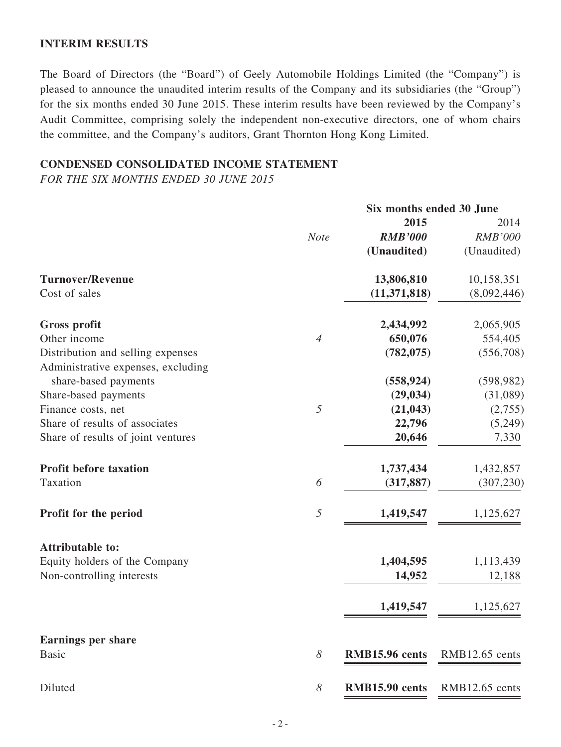### **INTERIM RESULTS**

The Board of Directors (the "Board") of Geely Automobile Holdings Limited (the "Company") is pleased to announce the unaudited interim results of the Company and its subsidiaries (the "Group") for the six months ended 30 June 2015. These interim results have been reviewed by the Company's Audit Committee, comprising solely the independent non-executive directors, one of whom chairs the committee, and the Company's auditors, Grant Thornton Hong Kong Limited.

### **CONDENSED CONSOLIDATED INCOME STATEMENT**

*FOR THE SIX MONTHS ENDED 30 JUNE 2015*

|                | Six months ended 30 June |                                                                          |  |
|----------------|--------------------------|--------------------------------------------------------------------------|--|
|                | 2015                     | 2014                                                                     |  |
| <b>Note</b>    | <b>RMB'000</b>           | <b>RMB'000</b>                                                           |  |
|                | (Unaudited)              | (Unaudited)                                                              |  |
|                | 13,806,810               | 10,158,351                                                               |  |
|                | (11, 371, 818)           | (8,092,446)                                                              |  |
|                | 2,434,992                | 2,065,905                                                                |  |
| $\overline{4}$ | 650,076                  | 554,405                                                                  |  |
|                | (782, 075)               | (556,708)                                                                |  |
|                |                          |                                                                          |  |
|                |                          | (598, 982)                                                               |  |
|                |                          | (31,089)                                                                 |  |
| 5              |                          | (2,755)                                                                  |  |
|                |                          | (5,249)                                                                  |  |
|                | 20,646                   | 7,330                                                                    |  |
|                |                          | 1,432,857                                                                |  |
| 6              | (317, 887)               | (307, 230)                                                               |  |
| 5              | 1,419,547                | 1,125,627                                                                |  |
|                |                          |                                                                          |  |
|                |                          | 1,113,439                                                                |  |
|                | 14,952                   | 12,188                                                                   |  |
|                | 1,419,547                | 1,125,627                                                                |  |
|                |                          |                                                                          |  |
| 8              | RMB15.96 cents           | RMB12.65 cents                                                           |  |
| 8              | RMB15.90 cents           | $RMB12.65$ cents                                                         |  |
|                |                          | (558, 924)<br>(29, 034)<br>(21, 043)<br>22,796<br>1,737,434<br>1,404,595 |  |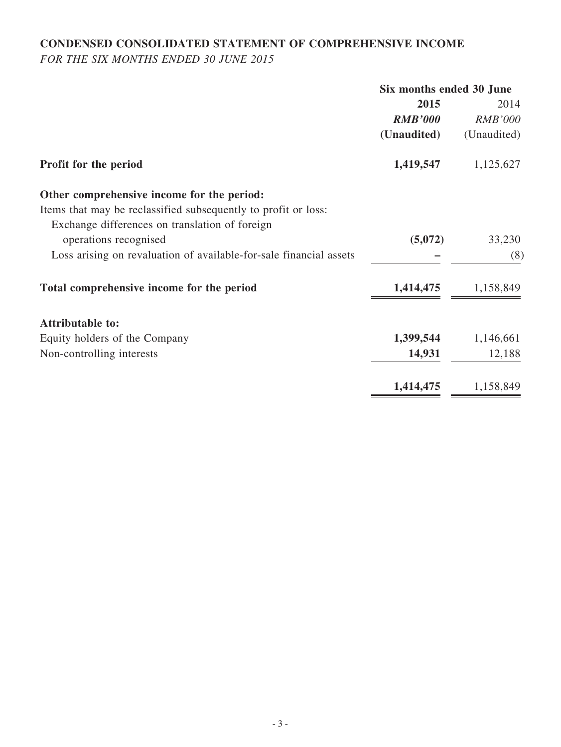# **CONDENSED CONSOLIDATED STATEMENT OF COMPREHENSIVE INCOME**

*FOR THE SIX MONTHS ENDED 30 JUNE 2015*

|                                                                    | Six months ended 30 June |                |
|--------------------------------------------------------------------|--------------------------|----------------|
|                                                                    | 2015                     | 2014           |
|                                                                    | <b>RMB'000</b>           | <b>RMB'000</b> |
|                                                                    | (Unaudited)              | (Unaudited)    |
| Profit for the period                                              | 1,419,547                | 1,125,627      |
| Other comprehensive income for the period:                         |                          |                |
| Items that may be reclassified subsequently to profit or loss:     |                          |                |
| Exchange differences on translation of foreign                     |                          |                |
| operations recognised                                              | (5,072)                  | 33,230         |
| Loss arising on revaluation of available-for-sale financial assets |                          | (8)            |
| Total comprehensive income for the period                          | 1,414,475                | 1,158,849      |
| <b>Attributable to:</b>                                            |                          |                |
| Equity holders of the Company                                      | 1,399,544                | 1,146,661      |
| Non-controlling interests                                          | 14,931                   | 12,188         |
|                                                                    | 1,414,475                | 1,158,849      |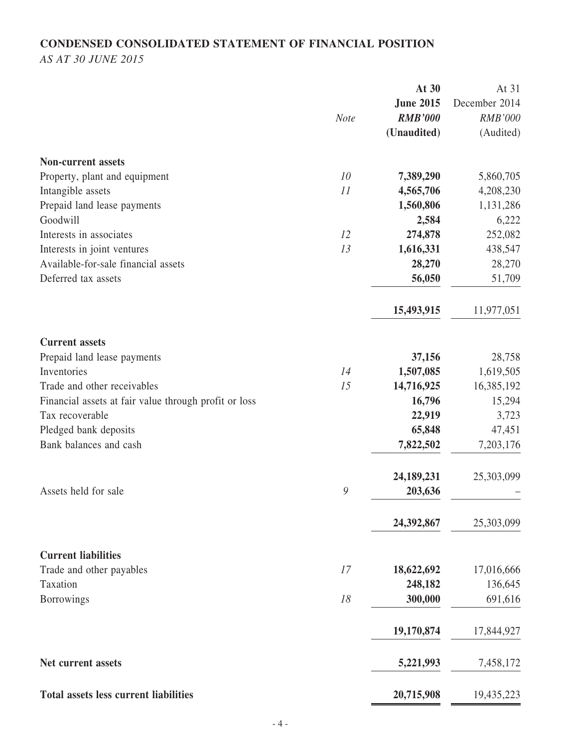# **CONDENSED CONSOLIDATED STATEMENT OF FINANCIAL POSITION**

*AS AT 30 JUNE 2015*

|                                                       | At 30            | At 31          |
|-------------------------------------------------------|------------------|----------------|
|                                                       | <b>June 2015</b> | December 2014  |
| <b>Note</b>                                           | <b>RMB'000</b>   | <b>RMB'000</b> |
|                                                       | (Unaudited)      | (Audited)      |
| <b>Non-current assets</b>                             |                  |                |
| 10<br>Property, plant and equipment                   | 7,389,290        | 5,860,705      |
| Intangible assets<br>11                               | 4,565,706        | 4,208,230      |
| Prepaid land lease payments                           | 1,560,806        | 1,131,286      |
| Goodwill                                              | 2,584            | 6,222          |
| Interests in associates<br>12                         | 274,878          | 252,082        |
| Interests in joint ventures<br>13                     | 1,616,331        | 438,547        |
| Available-for-sale financial assets                   | 28,270           | 28,270         |
| Deferred tax assets                                   | 56,050           | 51,709         |
|                                                       | 15,493,915       | 11,977,051     |
| <b>Current assets</b>                                 |                  |                |
| Prepaid land lease payments                           | 37,156           | 28,758         |
| Inventories<br>14                                     | 1,507,085        | 1,619,505      |
| Trade and other receivables<br>15                     | 14,716,925       | 16,385,192     |
| Financial assets at fair value through profit or loss | 16,796           | 15,294         |
| Tax recoverable                                       | 22,919           | 3,723          |
| Pledged bank deposits                                 | 65,848           | 47,451         |
| Bank balances and cash                                | 7,822,502        | 7,203,176      |
|                                                       | 24,189,231       | 25,303,099     |
| 9<br>Assets held for sale                             | 203,636          |                |
|                                                       | 24,392,867       | 25,303,099     |
| <b>Current liabilities</b>                            |                  |                |
| Trade and other payables<br>17                        | 18,622,692       | 17,016,666     |
| Taxation                                              | 248,182          | 136,645        |
| 18<br><b>Borrowings</b>                               | 300,000          | 691,616        |
|                                                       | 19,170,874       | 17,844,927     |
| Net current assets                                    | 5,221,993        | 7,458,172      |
| <b>Total assets less current liabilities</b>          | 20,715,908       | 19,435,223     |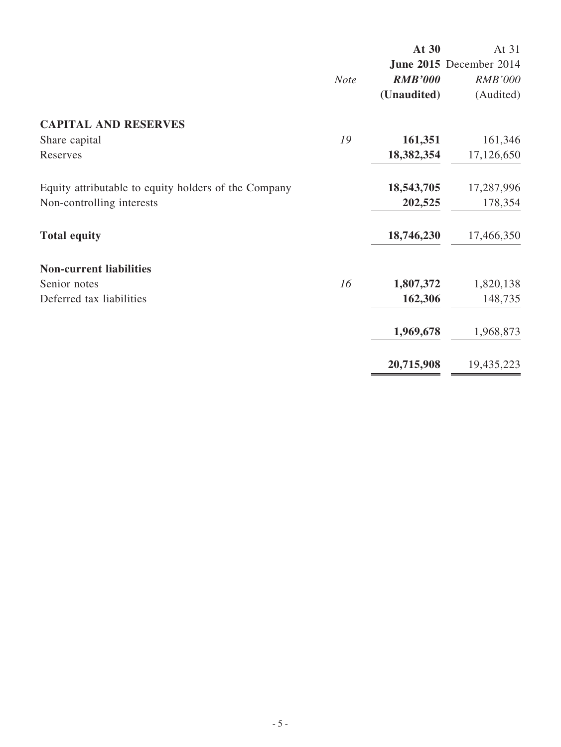|                                                      |             | At 30          | At 31                   |
|------------------------------------------------------|-------------|----------------|-------------------------|
|                                                      |             |                | June 2015 December 2014 |
|                                                      | <b>Note</b> | <b>RMB'000</b> | <b>RMB'000</b>          |
|                                                      |             | (Unaudited)    | (Audited)               |
| <b>CAPITAL AND RESERVES</b>                          |             |                |                         |
| Share capital                                        | 19          | 161,351        | 161,346                 |
| Reserves                                             |             | 18,382,354     | 17,126,650              |
| Equity attributable to equity holders of the Company |             | 18,543,705     | 17,287,996              |
| Non-controlling interests                            |             | 202,525        | 178,354                 |
| <b>Total equity</b>                                  |             | 18,746,230     | 17,466,350              |
| <b>Non-current liabilities</b>                       |             |                |                         |
| Senior notes                                         | 16          | 1,807,372      | 1,820,138               |
| Deferred tax liabilities                             |             | 162,306        | 148,735                 |
|                                                      |             | 1,969,678      | 1,968,873               |
|                                                      |             | 20,715,908     | 19,435,223              |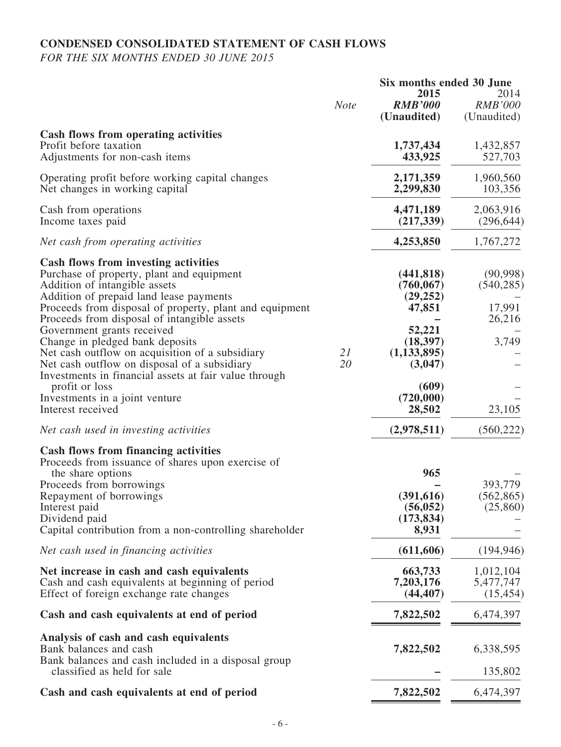# **CONDENSED CONSOLIDATED STATEMENT OF CASH FLOWS**

*FOR THE SIX MONTHS ENDED 30 JUNE 2015*

|                                                                                                                                                                                                                                                                                                                                                                                                                                                                                                                                                                                      |             | Six months ended 30 June                                                                                                           |                                                                |
|--------------------------------------------------------------------------------------------------------------------------------------------------------------------------------------------------------------------------------------------------------------------------------------------------------------------------------------------------------------------------------------------------------------------------------------------------------------------------------------------------------------------------------------------------------------------------------------|-------------|------------------------------------------------------------------------------------------------------------------------------------|----------------------------------------------------------------|
|                                                                                                                                                                                                                                                                                                                                                                                                                                                                                                                                                                                      | <b>Note</b> | 2015<br><b>RMB'000</b><br>(Unaudited)                                                                                              | 2014<br><b>RMB'000</b><br>(Unaudited)                          |
| <b>Cash flows from operating activities</b><br>Profit before taxation<br>Adjustments for non-cash items                                                                                                                                                                                                                                                                                                                                                                                                                                                                              |             | 1,737,434<br>433,925                                                                                                               | 1,432,857<br>527,703                                           |
| Operating profit before working capital changes<br>Net changes in working capital                                                                                                                                                                                                                                                                                                                                                                                                                                                                                                    |             | 2,171,359<br>2,299,830                                                                                                             | 1,960,560<br>103,356                                           |
| Cash from operations<br>Income taxes paid                                                                                                                                                                                                                                                                                                                                                                                                                                                                                                                                            |             | 4,471,189<br>(217, 339)                                                                                                            | 2,063,916<br>(296, 644)                                        |
| Net cash from operating activities                                                                                                                                                                                                                                                                                                                                                                                                                                                                                                                                                   |             | 4,253,850                                                                                                                          | 1,767,272                                                      |
| <b>Cash flows from investing activities</b><br>Purchase of property, plant and equipment<br>Addition of intangible assets<br>Addition of prepaid land lease payments<br>Proceeds from disposal of property, plant and equipment<br>Proceeds from disposal of intangible assets<br>Government grants received<br>Change in pledged bank deposits<br>Net cash outflow on acquisition of a subsidiary<br>Net cash outflow on disposal of a subsidiary<br>Investments in financial assets at fair value through<br>profit or loss<br>Investments in a joint venture<br>Interest received | 21<br>20    | (441, 818)<br>(760, 067)<br>(29, 252)<br>47,851<br>52,221<br>(18, 397)<br>(1, 133, 895)<br>(3,047)<br>(609)<br>(720,000)<br>28,502 | (90, 998)<br>(540, 285)<br>17,991<br>26,216<br>3,749<br>23,105 |
| Net cash used in investing activities                                                                                                                                                                                                                                                                                                                                                                                                                                                                                                                                                |             | (2,978,511)                                                                                                                        | (560, 222)                                                     |
| <b>Cash flows from financing activities</b><br>Proceeds from issuance of shares upon exercise of<br>the share options<br>Proceeds from borrowings<br>Repayment of borrowings<br>Interest paid<br>Dividend paid<br>Capital contribution from a non-controlling shareholder                                                                                                                                                                                                                                                                                                            |             | 965<br>(391, 616)<br>(56, 052)<br>(173, 834)<br>8,931                                                                              | 393,779<br>(562, 865)<br>(25, 860)                             |
| Net cash used in financing activities                                                                                                                                                                                                                                                                                                                                                                                                                                                                                                                                                |             | (611, 606)                                                                                                                         | (194, 946)                                                     |
| Net increase in cash and cash equivalents<br>Cash and cash equivalents at beginning of period<br>Effect of foreign exchange rate changes                                                                                                                                                                                                                                                                                                                                                                                                                                             |             | 663,733<br>7,203,176<br>(44, 407)                                                                                                  | 1,012,104<br>5,477,747<br>(15, 454)                            |
| Cash and cash equivalents at end of period                                                                                                                                                                                                                                                                                                                                                                                                                                                                                                                                           |             | 7,822,502                                                                                                                          | 6,474,397                                                      |
| Analysis of cash and cash equivalents<br>Bank balances and cash<br>Bank balances and cash included in a disposal group<br>classified as held for sale                                                                                                                                                                                                                                                                                                                                                                                                                                |             | 7,822,502                                                                                                                          | 6,338,595<br>135,802                                           |
| Cash and cash equivalents at end of period                                                                                                                                                                                                                                                                                                                                                                                                                                                                                                                                           |             | 7,822,502                                                                                                                          | 6,474,397                                                      |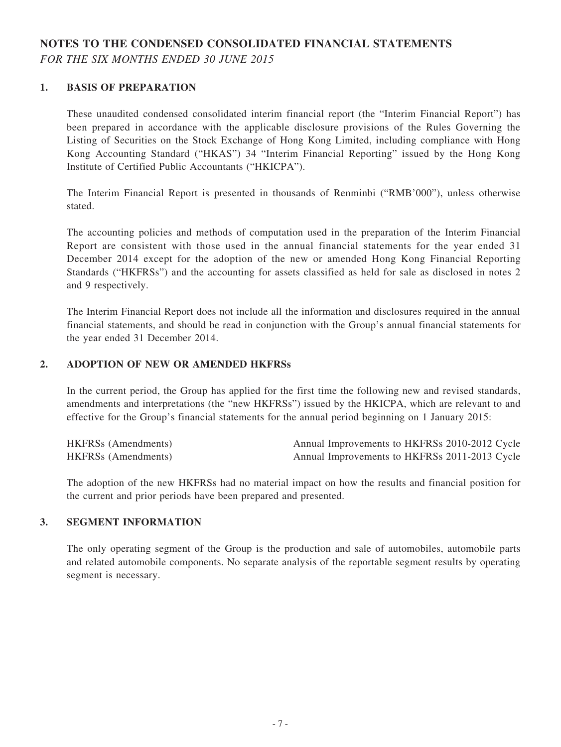# **NOTES TO THE CONDENSED CONSOLIDATED FINANCIAL STATEMENTS**

*FOR THE SIX MONTHS ENDED 30 JUNE 2015*

### **1. BASIS OF PREPARATION**

These unaudited condensed consolidated interim financial report (the "Interim Financial Report") has been prepared in accordance with the applicable disclosure provisions of the Rules Governing the Listing of Securities on the Stock Exchange of Hong Kong Limited, including compliance with Hong Kong Accounting Standard ("HKAS") 34 "Interim Financial Reporting" issued by the Hong Kong Institute of Certified Public Accountants ("HKICPA").

The Interim Financial Report is presented in thousands of Renminbi ("RMB'000"), unless otherwise stated.

The accounting policies and methods of computation used in the preparation of the Interim Financial Report are consistent with those used in the annual financial statements for the year ended 31 December 2014 except for the adoption of the new or amended Hong Kong Financial Reporting Standards ("HKFRSs") and the accounting for assets classified as held for sale as disclosed in notes 2 and 9 respectively.

The Interim Financial Report does not include all the information and disclosures required in the annual financial statements, and should be read in conjunction with the Group's annual financial statements for the year ended 31 December 2014.

#### **2. ADOPTION OF NEW OR AMENDED HKFRSs**

In the current period, the Group has applied for the first time the following new and revised standards, amendments and interpretations (the "new HKFRSs") issued by the HKICPA, which are relevant to and effective for the Group's financial statements for the annual period beginning on 1 January 2015:

| <b>HKFRSs</b> (Amendments) | Annual Improvements to HKFRSs 2010-2012 Cycle |
|----------------------------|-----------------------------------------------|
| <b>HKFRSs</b> (Amendments) | Annual Improvements to HKFRSs 2011-2013 Cycle |

The adoption of the new HKFRSs had no material impact on how the results and financial position for the current and prior periods have been prepared and presented.

#### **3. SEGMENT INFORMATION**

The only operating segment of the Group is the production and sale of automobiles, automobile parts and related automobile components. No separate analysis of the reportable segment results by operating segment is necessary.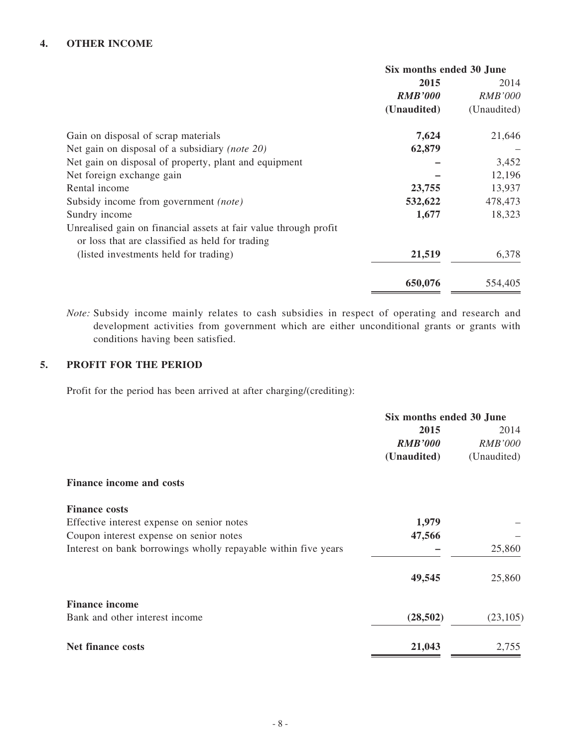### **4. OTHER INCOME**

|                                                                                                                     | Six months ended 30 June |                |
|---------------------------------------------------------------------------------------------------------------------|--------------------------|----------------|
|                                                                                                                     | 2015                     | 2014           |
|                                                                                                                     | <b>RMB'000</b>           | <i>RMB'000</i> |
|                                                                                                                     | (Unaudited)              | (Unaudited)    |
| Gain on disposal of scrap materials                                                                                 | 7,624                    | 21,646         |
| Net gain on disposal of a subsidiary (note 20)                                                                      | 62,879                   |                |
| Net gain on disposal of property, plant and equipment                                                               |                          | 3,452          |
| Net foreign exchange gain                                                                                           |                          | 12,196         |
| Rental income                                                                                                       | 23,755                   | 13,937         |
| Subsidy income from government <i>(note)</i>                                                                        | 532,622                  | 478,473        |
| Sundry income                                                                                                       | 1,677                    | 18,323         |
| Unrealised gain on financial assets at fair value through profit<br>or loss that are classified as held for trading |                          |                |
| (listed investments held for trading)                                                                               | 21,519                   | 6,378          |
|                                                                                                                     | 650,076                  | 554,405        |

*Note:* Subsidy income mainly relates to cash subsidies in respect of operating and research and development activities from government which are either unconditional grants or grants with conditions having been satisfied.

### **5. PROFIT FOR THE PERIOD**

Profit for the period has been arrived at after charging/(crediting):

|                                                                | Six months ended 30 June |                |
|----------------------------------------------------------------|--------------------------|----------------|
|                                                                | 2015                     | 2014           |
|                                                                | <b>RMB'000</b>           | <i>RMB'000</i> |
|                                                                | (Unaudited)              | (Unaudited)    |
| <b>Finance income and costs</b>                                |                          |                |
| <b>Finance costs</b>                                           |                          |                |
| Effective interest expense on senior notes                     | 1,979                    |                |
| Coupon interest expense on senior notes                        | 47,566                   |                |
| Interest on bank borrowings wholly repayable within five years |                          | 25,860         |
|                                                                | 49,545                   | 25,860         |
| <b>Finance income</b>                                          |                          |                |
| Bank and other interest income                                 | (28, 502)                | (23,105)       |
| <b>Net finance costs</b>                                       | 21,043                   | 2,755          |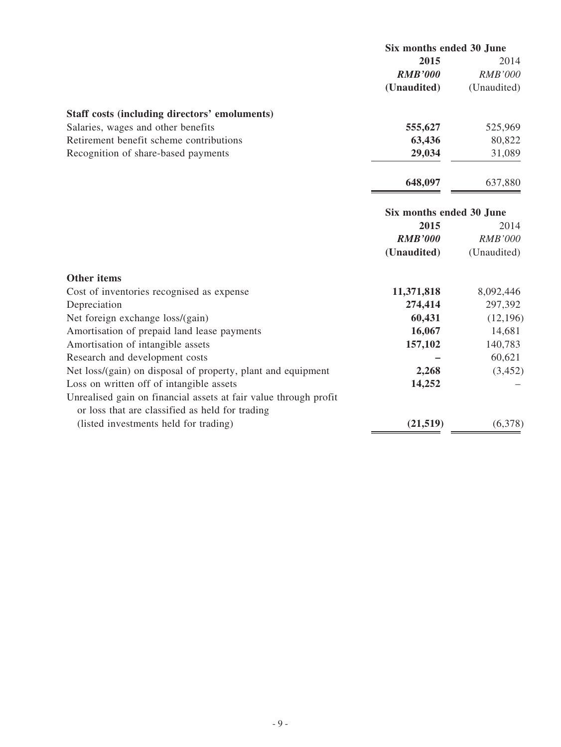|                                               | Six months ended 30 June |                |
|-----------------------------------------------|--------------------------|----------------|
|                                               | 2015                     | 2014           |
|                                               | <b>RMB'000</b>           | <b>RMB'000</b> |
|                                               | (Unaudited)              | (Unaudited)    |
| Staff costs (including directors' emoluments) |                          |                |
| Salaries, wages and other benefits            | 555,627                  | 525,969        |
| Retirement benefit scheme contributions       | 63,436                   | 80,822         |
| Recognition of share-based payments           | 29,034                   | 31,089         |
|                                               | 648,097                  | 637,880        |
|                                               | Six months ended 30 June |                |
|                                               | 2015                     | 2014           |
|                                               | <b>RMB'000</b>           | <b>RMB'000</b> |
|                                               | (Unaudited)              | (Unaudited)    |
| <b>Other items</b>                            |                          |                |
| Cost of inventories recognised as expense     | 11,371,818               | 8,092,446      |
| Depreciation                                  | 274,414                  | 297,392        |
| Net foreign exchange loss/(gain)              | 60,431                   | (12, 196)      |
| Amortisation of prepaid land lease payments   | 16,067                   | 14,681         |
| Amortisation of intangible assets             | 157,102                  | 140,783        |
| Research and development costs                |                          | 60,621         |

Net loss/(gain) on disposal of property, plant and equipment **2,268** (3,452) Loss on written off of intangible assets **14,252** –

(listed investments held for trading) **(21,519)** (6,378)

Unrealised gain on financial assets at fair value through profit

or loss that are classified as held for trading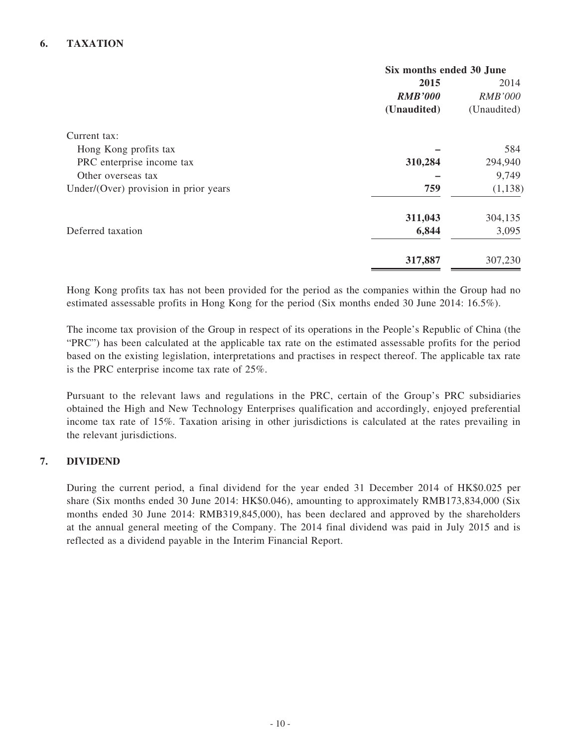### **6. TAXATION**

|                                       | Six months ended 30 June |                |
|---------------------------------------|--------------------------|----------------|
|                                       | 2015                     |                |
|                                       | <b>RMB'000</b>           | <b>RMB'000</b> |
|                                       | (Unaudited)              | (Unaudited)    |
| Current tax:                          |                          |                |
| Hong Kong profits tax                 |                          | 584            |
| PRC enterprise income tax             | 310,284                  | 294,940        |
| Other overseas tax                    |                          | 9,749          |
| Under/(Over) provision in prior years | 759                      | (1, 138)       |
|                                       | 311,043                  | 304,135        |
| Deferred taxation                     | 6,844                    | 3,095          |
|                                       | 317,887                  | 307,230        |

Hong Kong profits tax has not been provided for the period as the companies within the Group had no estimated assessable profits in Hong Kong for the period (Six months ended 30 June 2014: 16.5%).

The income tax provision of the Group in respect of its operations in the People's Republic of China (the "PRC") has been calculated at the applicable tax rate on the estimated assessable profits for the period based on the existing legislation, interpretations and practises in respect thereof. The applicable tax rate is the PRC enterprise income tax rate of 25%.

Pursuant to the relevant laws and regulations in the PRC, certain of the Group's PRC subsidiaries obtained the High and New Technology Enterprises qualification and accordingly, enjoyed preferential income tax rate of 15%. Taxation arising in other jurisdictions is calculated at the rates prevailing in the relevant jurisdictions.

### **7. DIVIDEND**

During the current period, a final dividend for the year ended 31 December 2014 of HK\$0.025 per share (Six months ended 30 June 2014: HK\$0.046), amounting to approximately RMB173,834,000 (Six months ended 30 June 2014: RMB319,845,000), has been declared and approved by the shareholders at the annual general meeting of the Company. The 2014 final dividend was paid in July 2015 and is reflected as a dividend payable in the Interim Financial Report.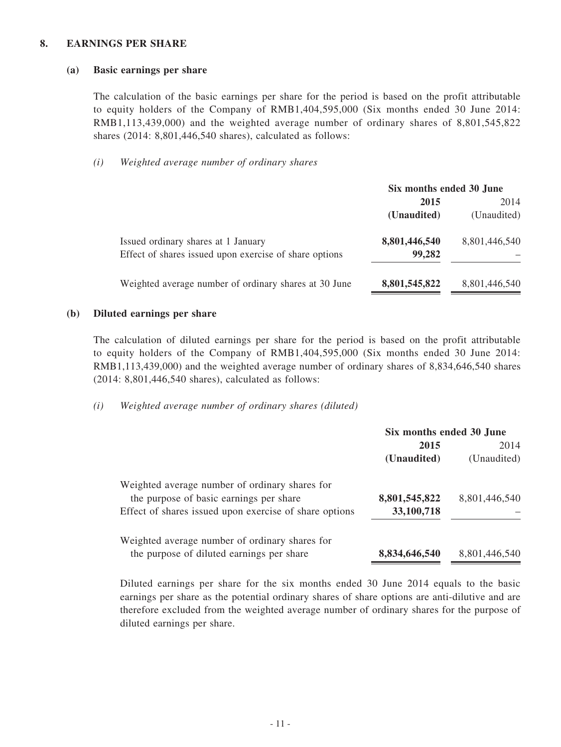#### **8. EARNINGS PER SHARE**

#### **(a) Basic earnings per share**

The calculation of the basic earnings per share for the period is based on the profit attributable to equity holders of the Company of RMB1,404,595,000 (Six months ended 30 June 2014: RMB1,113,439,000) and the weighted average number of ordinary shares of 8,801,545,822 shares (2014: 8,801,446,540 shares), calculated as follows:

#### *(i) Weighted average number of ordinary shares*

|                                                                                               | Six months ended 30 June |               |
|-----------------------------------------------------------------------------------------------|--------------------------|---------------|
|                                                                                               | 2015                     |               |
|                                                                                               | (Unaudited)              | (Unaudited)   |
| Issued ordinary shares at 1 January<br>Effect of shares issued upon exercise of share options | 8,801,446,540<br>99,282  | 8,801,446,540 |
| Weighted average number of ordinary shares at 30 June                                         | 8,801,545,822            | 8,801,446,540 |

#### **(b) Diluted earnings per share**

The calculation of diluted earnings per share for the period is based on the profit attributable to equity holders of the Company of RMB1,404,595,000 (Six months ended 30 June 2014: RMB1,113,439,000) and the weighted average number of ordinary shares of 8,834,646,540 shares (2014: 8,801,446,540 shares), calculated as follows:

#### *(i) Weighted average number of ordinary shares (diluted)*

|                                                                                                                                                     | Six months ended 30 June    |               |
|-----------------------------------------------------------------------------------------------------------------------------------------------------|-----------------------------|---------------|
|                                                                                                                                                     | 2014<br>2015                |               |
|                                                                                                                                                     | (Unaudited)                 | (Unaudited)   |
| Weighted average number of ordinary shares for<br>the purpose of basic earnings per share<br>Effect of shares issued upon exercise of share options | 8,801,545,822<br>33,100,718 | 8,801,446,540 |
| Weighted average number of ordinary shares for<br>the purpose of diluted earnings per share                                                         | 8,834,646,540               | 8,801,446,540 |

Diluted earnings per share for the six months ended 30 June 2014 equals to the basic earnings per share as the potential ordinary shares of share options are anti-dilutive and are therefore excluded from the weighted average number of ordinary shares for the purpose of diluted earnings per share.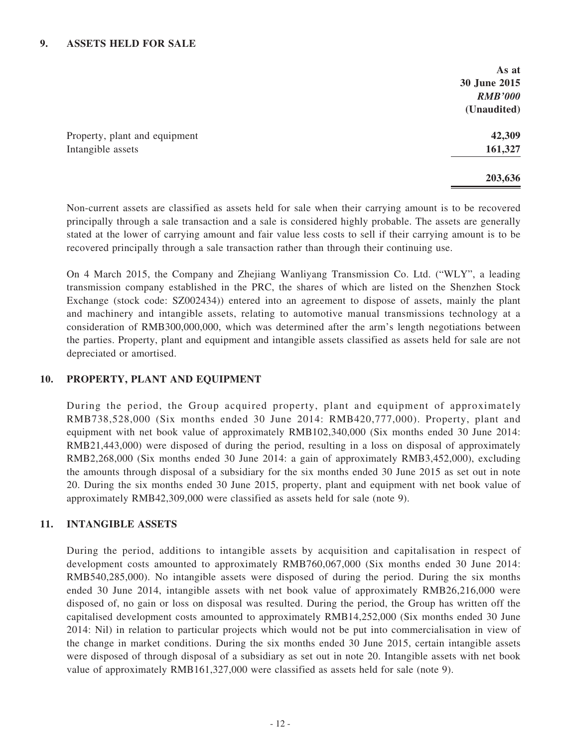### **9. ASSETS HELD FOR SALE**

|                               | As at          |
|-------------------------------|----------------|
|                               | 30 June 2015   |
|                               | <b>RMB'000</b> |
|                               | (Unaudited)    |
| Property, plant and equipment | 42,309         |
| Intangible assets             | 161,327        |
|                               | 203,636        |

Non-current assets are classified as assets held for sale when their carrying amount is to be recovered principally through a sale transaction and a sale is considered highly probable. The assets are generally stated at the lower of carrying amount and fair value less costs to sell if their carrying amount is to be recovered principally through a sale transaction rather than through their continuing use.

On 4 March 2015, the Company and Zhejiang Wanliyang Transmission Co. Ltd. ("WLY", a leading transmission company established in the PRC, the shares of which are listed on the Shenzhen Stock Exchange (stock code: SZ002434)) entered into an agreement to dispose of assets, mainly the plant and machinery and intangible assets, relating to automotive manual transmissions technology at a consideration of RMB300,000,000, which was determined after the arm's length negotiations between the parties. Property, plant and equipment and intangible assets classified as assets held for sale are not depreciated or amortised.

#### **10. PROPERTY, PLANT AND EQUIPMENT**

During the period, the Group acquired property, plant and equipment of approximately RMB738,528,000 (Six months ended 30 June 2014: RMB420,777,000). Property, plant and equipment with net book value of approximately RMB102,340,000 (Six months ended 30 June 2014: RMB21,443,000) were disposed of during the period, resulting in a loss on disposal of approximately RMB2,268,000 (Six months ended 30 June 2014: a gain of approximately RMB3,452,000), excluding the amounts through disposal of a subsidiary for the six months ended 30 June 2015 as set out in note 20. During the six months ended 30 June 2015, property, plant and equipment with net book value of approximately RMB42,309,000 were classified as assets held for sale (note 9).

### **11. INTANGIBLE ASSETS**

During the period, additions to intangible assets by acquisition and capitalisation in respect of development costs amounted to approximately RMB760,067,000 (Six months ended 30 June 2014: RMB540,285,000). No intangible assets were disposed of during the period. During the six months ended 30 June 2014, intangible assets with net book value of approximately RMB26,216,000 were disposed of, no gain or loss on disposal was resulted. During the period, the Group has written off the capitalised development costs amounted to approximately RMB14,252,000 (Six months ended 30 June 2014: Nil) in relation to particular projects which would not be put into commercialisation in view of the change in market conditions. During the six months ended 30 June 2015, certain intangible assets were disposed of through disposal of a subsidiary as set out in note 20. Intangible assets with net book value of approximately RMB161,327,000 were classified as assets held for sale (note 9).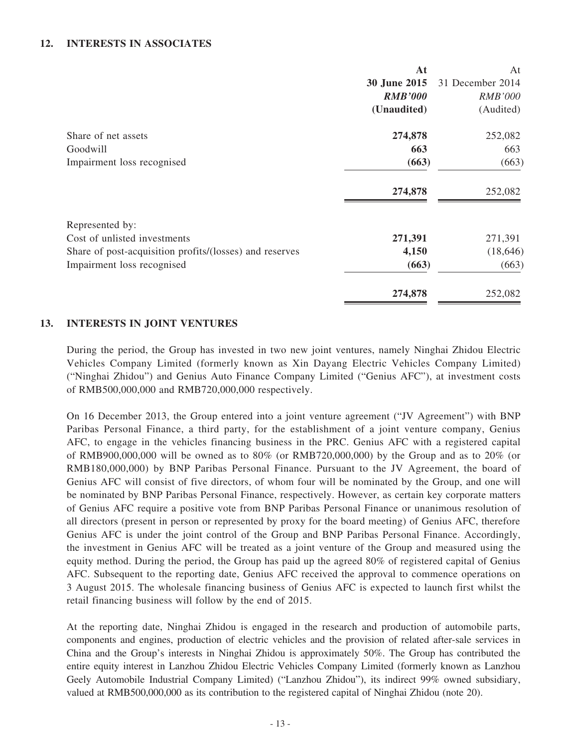### **12. INTERESTS IN ASSOCIATES**

|                                                         | At             | At               |
|---------------------------------------------------------|----------------|------------------|
|                                                         | 30 June 2015   | 31 December 2014 |
|                                                         | <b>RMB'000</b> | <b>RMB'000</b>   |
|                                                         | (Unaudited)    | (Audited)        |
| Share of net assets                                     | 274,878        | 252,082          |
| Goodwill                                                | 663            | 663              |
| Impairment loss recognised                              | (663)          | (663)            |
|                                                         | 274,878        | 252,082          |
| Represented by:                                         |                |                  |
| Cost of unlisted investments                            | 271,391        | 271,391          |
| Share of post-acquisition profits/(losses) and reserves | 4,150          | (18, 646)        |
| Impairment loss recognised                              | (663)          | (663)            |
|                                                         | 274,878        | 252,082          |

#### **13. INTERESTS IN JOINT VENTUREs**

During the period, the Group has invested in two new joint ventures, namely Ninghai Zhidou Electric Vehicles Company Limited (formerly known as Xin Dayang Electric Vehicles Company Limited) ("Ninghai Zhidou") and Genius Auto Finance Company Limited ("Genius AFC"), at investment costs of RMB500,000,000 and RMB720,000,000 respectively.

On 16 December 2013, the Group entered into a joint venture agreement ("JV Agreement") with BNP Paribas Personal Finance, a third party, for the establishment of a joint venture company, Genius AFC, to engage in the vehicles financing business in the PRC. Genius AFC with a registered capital of RMB900,000,000 will be owned as to 80% (or RMB720,000,000) by the Group and as to 20% (or RMB180,000,000) by BNP Paribas Personal Finance. Pursuant to the JV Agreement, the board of Genius AFC will consist of five directors, of whom four will be nominated by the Group, and one will be nominated by BNP Paribas Personal Finance, respectively. However, as certain key corporate matters of Genius AFC require a positive vote from BNP Paribas Personal Finance or unanimous resolution of all directors (present in person or represented by proxy for the board meeting) of Genius AFC, therefore Genius AFC is under the joint control of the Group and BNP Paribas Personal Finance. Accordingly, the investment in Genius AFC will be treated as a joint venture of the Group and measured using the equity method. During the period, the Group has paid up the agreed 80% of registered capital of Genius AFC. Subsequent to the reporting date, Genius AFC received the approval to commence operations on 3 August 2015. The wholesale financing business of Genius AFC is expected to launch first whilst the retail financing business will follow by the end of 2015.

At the reporting date, Ninghai Zhidou is engaged in the research and production of automobile parts, components and engines, production of electric vehicles and the provision of related after-sale services in China and the Group's interests in Ninghai Zhidou is approximately 50%. The Group has contributed the entire equity interest in Lanzhou Zhidou Electric Vehicles Company Limited (formerly known as Lanzhou Geely Automobile Industrial Company Limited) ("Lanzhou Zhidou"), its indirect 99% owned subsidiary, valued at RMB500,000,000 as its contribution to the registered capital of Ninghai Zhidou (note 20).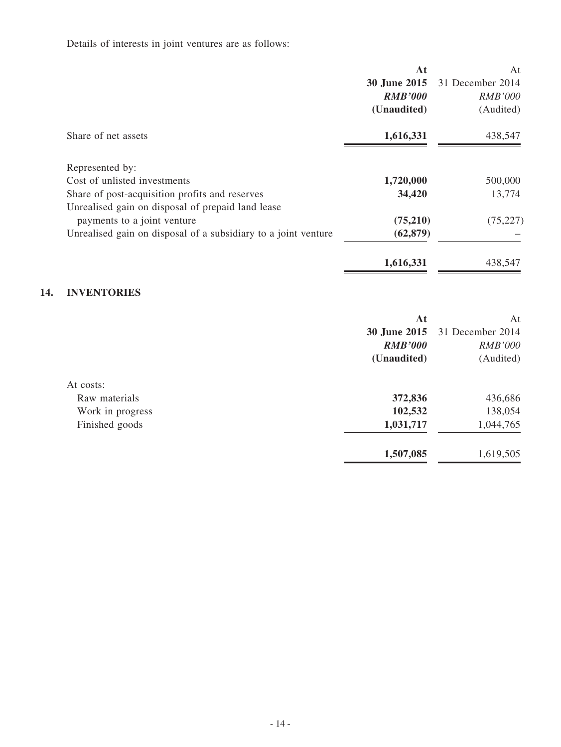# Details of interests in joint ventures are as follows:

|                                                                | At             | At               |
|----------------------------------------------------------------|----------------|------------------|
|                                                                | 30 June 2015   | 31 December 2014 |
|                                                                | <b>RMB'000</b> | <i>RMB'000</i>   |
|                                                                | (Unaudited)    | (Audited)        |
| Share of net assets                                            | 1,616,331      | 438,547          |
| Represented by:                                                |                |                  |
| Cost of unlisted investments                                   | 1,720,000      | 500,000          |
| Share of post-acquisition profits and reserves                 | 34,420         | 13,774           |
| Unrealised gain on disposal of prepaid land lease              |                |                  |
| payments to a joint venture                                    | (75,210)       | (75, 227)        |
| Unrealised gain on disposal of a subsidiary to a joint venture | (62, 879)      |                  |
|                                                                | 1,616,331      | 438,547          |

# **14. INVENTORIES**

|                  | At             | At               |
|------------------|----------------|------------------|
|                  | 30 June 2015   | 31 December 2014 |
|                  | <b>RMB'000</b> | <b>RMB'000</b>   |
|                  | (Unaudited)    | (Audited)        |
| At costs:        |                |                  |
| Raw materials    | 372,836        | 436,686          |
| Work in progress | 102,532        | 138,054          |
| Finished goods   | 1,031,717      | 1,044,765        |
|                  | 1,507,085      | 1,619,505        |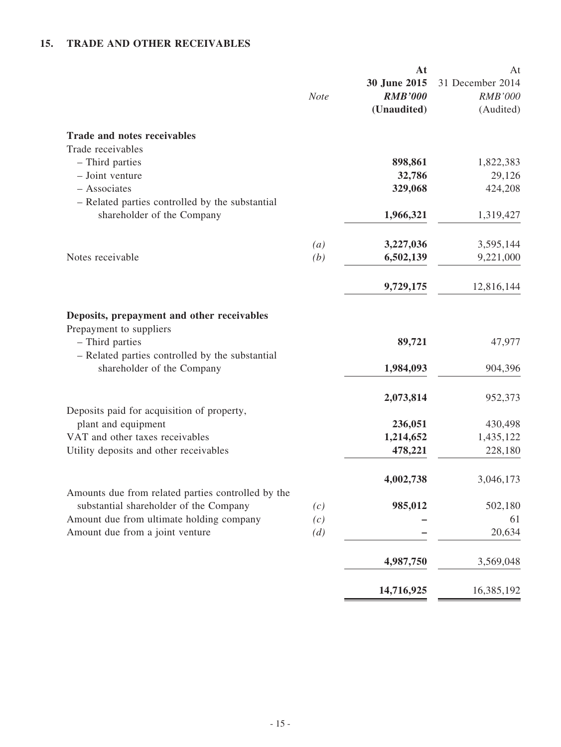# **15. TRADE AND OTHER RECEIVABLES**

|                                                                                               | <b>Note</b>      | At<br>30 June 2015<br><b>RMB'000</b><br>(Unaudited) | At<br>31 December 2014<br><b>RMB'000</b><br>(Audited) |
|-----------------------------------------------------------------------------------------------|------------------|-----------------------------------------------------|-------------------------------------------------------|
| <b>Trade and notes receivables</b>                                                            |                  |                                                     |                                                       |
| Trade receivables                                                                             |                  |                                                     |                                                       |
| - Third parties<br>- Joint venture                                                            |                  | 898,861<br>32,786                                   | 1,822,383                                             |
| - Associates                                                                                  |                  | 329,068                                             | 29,126<br>424,208                                     |
| - Related parties controlled by the substantial                                               |                  |                                                     |                                                       |
| shareholder of the Company                                                                    |                  | 1,966,321                                           | 1,319,427                                             |
|                                                                                               |                  |                                                     |                                                       |
|                                                                                               | $\left(a\right)$ | 3,227,036                                           | 3,595,144                                             |
| Notes receivable                                                                              | (b)              | 6,502,139                                           | 9,221,000                                             |
|                                                                                               |                  |                                                     |                                                       |
|                                                                                               |                  | 9,729,175                                           | 12,816,144                                            |
| Deposits, prepayment and other receivables                                                    |                  |                                                     |                                                       |
| Prepayment to suppliers<br>- Third parties<br>- Related parties controlled by the substantial |                  | 89,721                                              | 47,977                                                |
| shareholder of the Company                                                                    |                  | 1,984,093                                           | 904,396                                               |
|                                                                                               |                  | 2,073,814                                           | 952,373                                               |
| Deposits paid for acquisition of property,<br>plant and equipment                             |                  | 236,051                                             | 430,498                                               |
| VAT and other taxes receivables                                                               |                  | 1,214,652                                           | 1,435,122                                             |
| Utility deposits and other receivables                                                        |                  | 478,221                                             | 228,180                                               |
|                                                                                               |                  |                                                     |                                                       |
|                                                                                               |                  | 4,002,738                                           | 3,046,173                                             |
| Amounts due from related parties controlled by the<br>substantial shareholder of the Company  | (c)              | 985,012                                             | 502,180                                               |
| Amount due from ultimate holding company                                                      | (c)              |                                                     | 61                                                    |
| Amount due from a joint venture                                                               | (d)              |                                                     | 20,634                                                |
|                                                                                               |                  | 4,987,750                                           | 3,569,048                                             |
|                                                                                               |                  | 14,716,925                                          | 16,385,192                                            |
|                                                                                               |                  |                                                     |                                                       |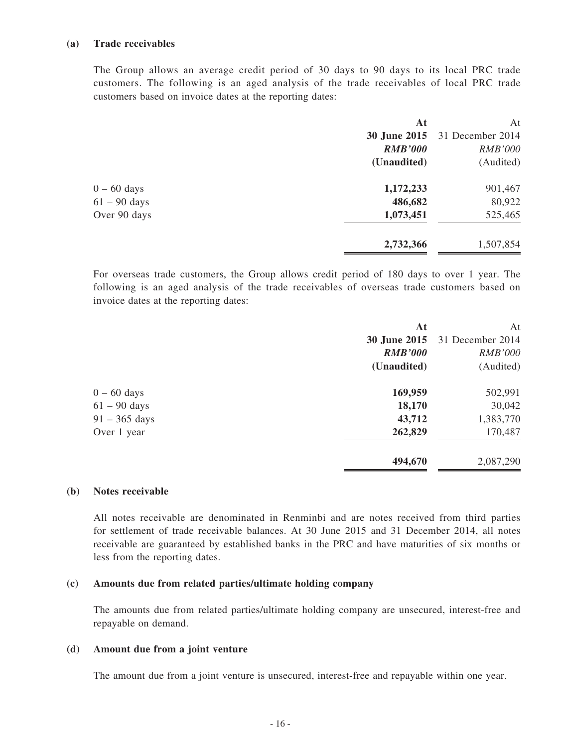#### **(a) Trade receivables**

The Group allows an average credit period of 30 days to 90 days to its local PRC trade customers. The following is an aged analysis of the trade receivables of local PRC trade customers based on invoice dates at the reporting dates:

|                | At             | At               |
|----------------|----------------|------------------|
|                | 30 June 2015   | 31 December 2014 |
|                | <b>RMB'000</b> | <b>RMB'000</b>   |
|                | (Unaudited)    | (Audited)        |
| $0 - 60$ days  | 1,172,233      | 901,467          |
| $61 - 90$ days | 486,682        | 80,922           |
| Over 90 days   | 1,073,451      | 525,465          |
|                | 2,732,366      | 1,507,854        |
|                |                |                  |

For overseas trade customers, the Group allows credit period of 180 days to over 1 year. The following is an aged analysis of the trade receivables of overseas trade customers based on invoice dates at the reporting dates:

| At             | At               |
|----------------|------------------|
| 30 June 2015   | 31 December 2014 |
| <b>RMB'000</b> | <b>RMB'000</b>   |
| (Unaudited)    | (Audited)        |
| 169,959        | 502,991          |
| 18,170         | 30,042           |
| 43,712         | 1,383,770        |
| 262,829        | 170,487          |
| 494,670        | 2,087,290        |
|                |                  |

#### **(b) Notes receivable**

All notes receivable are denominated in Renminbi and are notes received from third parties for settlement of trade receivable balances. At 30 June 2015 and 31 December 2014, all notes receivable are guaranteed by established banks in the PRC and have maturities of six months or less from the reporting dates.

#### **(c) Amounts due from related parties/ultimate holding company**

The amounts due from related parties/ultimate holding company are unsecured, interest-free and repayable on demand.

#### **(d) Amount due from a joint venture**

The amount due from a joint venture is unsecured, interest-free and repayable within one year.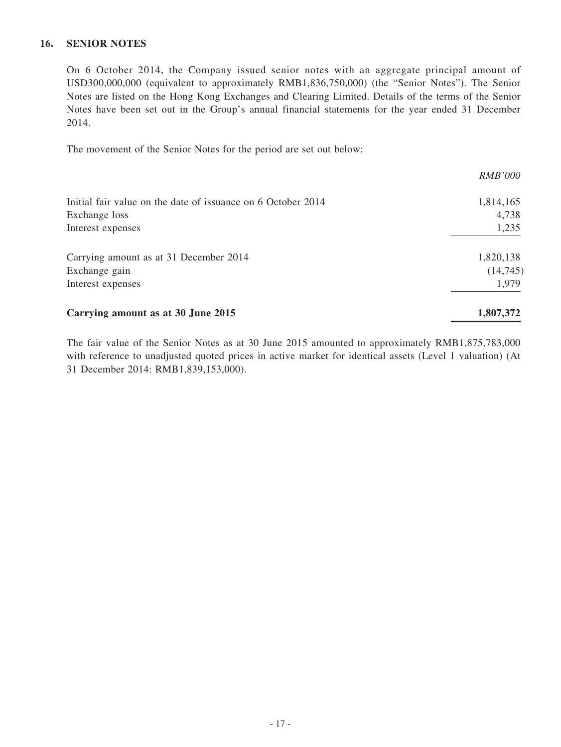### **16. SENIOR NOTES**

On 6 October 2014, the Company issued senior notes with an aggregate principal amount of USD300,000,000 (equivalent to approximately RMB1,836,750,000) (the "Senior Notes"). The Senior Notes are listed on the Hong Kong Exchanges and Clearing Limited. Details of the terms of the Senior Notes have been set out in the Group's annual financial statements for the year ended 31 December 2014.

The movement of the Senior Notes for the period are set out below:

|                                                              | <i>RMB'000</i> |
|--------------------------------------------------------------|----------------|
| Initial fair value on the date of issuance on 6 October 2014 | 1,814,165      |
| Exchange loss                                                | 4,738          |
| Interest expenses                                            | 1,235          |
| Carrying amount as at 31 December 2014                       | 1,820,138      |
| Exchange gain                                                | (14, 745)      |
| Interest expenses                                            | 1,979          |
| Carrying amount as at 30 June 2015                           | 1,807,372      |

The fair value of the Senior Notes as at 30 June 2015 amounted to approximately RMB1,875,783,000 with reference to unadjusted quoted prices in active market for identical assets (Level 1 valuation) (At 31 December 2014: RMB1,839,153,000).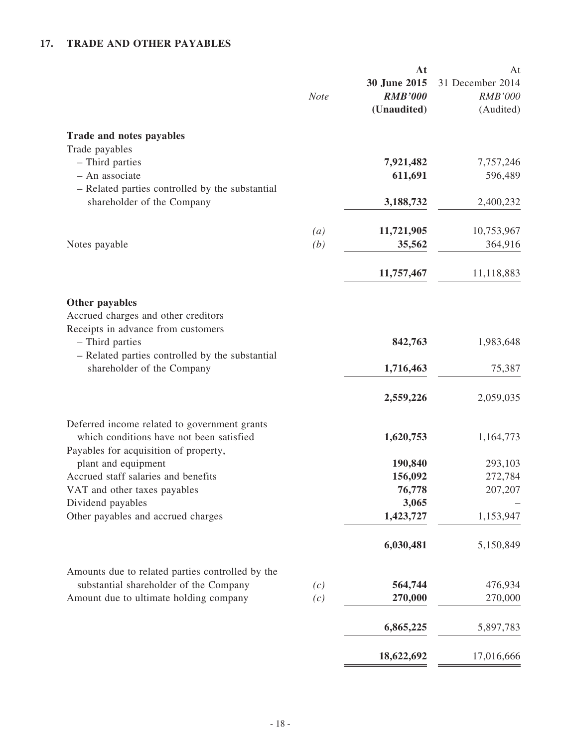# **17. TRADE AND OTHER PAYABLES**

|                                                                                                                                                                                                 | <b>Note</b>              | At<br>30 June 2015<br><b>RMB'000</b><br>(Unaudited) | At<br>31 December 2014<br><b>RMB'000</b><br>(Audited) |
|-------------------------------------------------------------------------------------------------------------------------------------------------------------------------------------------------|--------------------------|-----------------------------------------------------|-------------------------------------------------------|
| Trade and notes payables                                                                                                                                                                        |                          |                                                     |                                                       |
| Trade payables<br>- Third parties<br>- An associate                                                                                                                                             |                          | 7,921,482<br>611,691                                | 7,757,246<br>596,489                                  |
| - Related parties controlled by the substantial<br>shareholder of the Company                                                                                                                   |                          | 3,188,732                                           | 2,400,232                                             |
| Notes payable                                                                                                                                                                                   | $\left( a\right)$<br>(b) | 11,721,905<br>35,562                                | 10,753,967<br>364,916                                 |
|                                                                                                                                                                                                 |                          | 11,757,467                                          | 11,118,883                                            |
| Other payables<br>Accrued charges and other creditors<br>Receipts in advance from customers<br>- Third parties<br>- Related parties controlled by the substantial<br>shareholder of the Company |                          | 842,763<br>1,716,463                                | 1,983,648<br>75,387                                   |
|                                                                                                                                                                                                 |                          | 2,559,226                                           | 2,059,035                                             |
| Deferred income related to government grants<br>which conditions have not been satisfied<br>Payables for acquisition of property,                                                               |                          | 1,620,753                                           | 1,164,773                                             |
| plant and equipment<br>Accrued staff salaries and benefits<br>VAT and other taxes payables<br>Dividend payables<br>Other payables and accrued charges                                           |                          | 190,840<br>156,092<br>76,778<br>3,065<br>1,423,727  | 293,103<br>272,784<br>207,207<br>1,153,947            |
|                                                                                                                                                                                                 |                          | 6,030,481                                           | 5,150,849                                             |
| Amounts due to related parties controlled by the<br>substantial shareholder of the Company<br>Amount due to ultimate holding company                                                            | (c)<br>(c)               | 564,744<br>270,000                                  | 476,934<br>270,000                                    |
|                                                                                                                                                                                                 |                          | 6,865,225                                           | 5,897,783                                             |
|                                                                                                                                                                                                 |                          | 18,622,692                                          | 17,016,666                                            |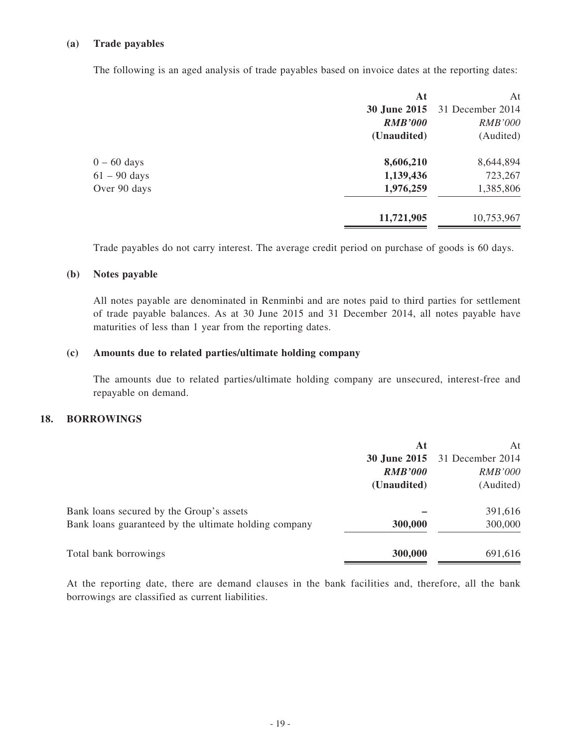#### **(a) Trade payables**

The following is an aged analysis of trade payables based on invoice dates at the reporting dates:

|                | At             | At                                   |
|----------------|----------------|--------------------------------------|
|                |                | <b>30 June 2015</b> 31 December 2014 |
|                | <b>RMB'000</b> | <b>RMB'000</b>                       |
|                | (Unaudited)    | (Audited)                            |
| $0 - 60$ days  | 8,606,210      | 8,644,894                            |
| $61 - 90$ days | 1,139,436      | 723,267                              |
| Over 90 days   | 1,976,259      | 1,385,806                            |
|                | 11,721,905     | 10,753,967                           |

Trade payables do not carry interest. The average credit period on purchase of goods is 60 days.

#### **(b) Notes payable**

All notes payable are denominated in Renminbi and are notes paid to third parties for settlement of trade payable balances. As at 30 June 2015 and 31 December 2014, all notes payable have maturities of less than 1 year from the reporting dates.

#### **(c) Amounts due to related parties/ultimate holding company**

The amounts due to related parties/ultimate holding company are unsecured, interest-free and repayable on demand.

#### **18. BORROWINGS**

|                                                       | At             | At               |
|-------------------------------------------------------|----------------|------------------|
|                                                       | 30 June 2015   | 31 December 2014 |
|                                                       | <b>RMB'000</b> | <i>RMB'000</i>   |
|                                                       | (Unaudited)    | (Audited)        |
| Bank loans secured by the Group's assets              |                | 391,616          |
| Bank loans guaranteed by the ultimate holding company | 300,000        | 300,000          |
| Total bank borrowings                                 | 300,000        | 691,616          |

At the reporting date, there are demand clauses in the bank facilities and, therefore, all the bank borrowings are classified as current liabilities.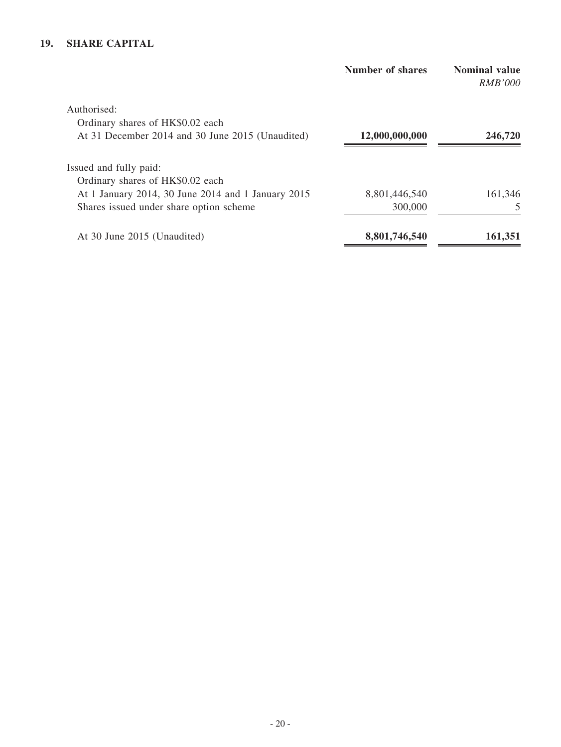# **19. SHARE CAPITAL**

|                                                    | <b>Number of shares</b> | <b>Nominal value</b><br><i>RMB'000</i> |  |
|----------------------------------------------------|-------------------------|----------------------------------------|--|
| Authorised:                                        |                         |                                        |  |
| Ordinary shares of HK\$0.02 each                   |                         |                                        |  |
| At 31 December 2014 and 30 June 2015 (Unaudited)   | 12,000,000,000          | 246,720                                |  |
| Issued and fully paid:                             |                         |                                        |  |
| Ordinary shares of HK\$0.02 each                   |                         |                                        |  |
| At 1 January 2014, 30 June 2014 and 1 January 2015 | 8,801,446,540           | 161,346                                |  |
| Shares issued under share option scheme            | 300,000                 | 5                                      |  |
| At 30 June 2015 (Unaudited)                        | 8,801,746,540           | 161,351                                |  |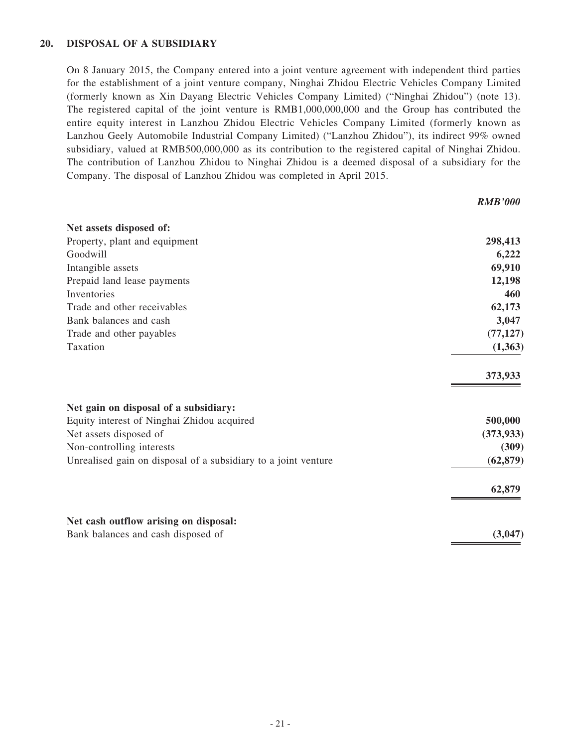### **20. DISPOSAL OF a SUBSIDIARy**

On 8 January 2015, the Company entered into a joint venture agreement with independent third parties for the establishment of a joint venture company, Ninghai Zhidou Electric Vehicles Company Limited (formerly known as Xin Dayang Electric Vehicles Company Limited) ("Ninghai Zhidou") (note 13). The registered capital of the joint venture is RMB1,000,000,000 and the Group has contributed the entire equity interest in Lanzhou Zhidou Electric Vehicles Company Limited (formerly known as Lanzhou Geely Automobile Industrial Company Limited) ("Lanzhou Zhidou"), its indirect 99% owned subsidiary, valued at RMB500,000,000 as its contribution to the registered capital of Ninghai Zhidou. The contribution of Lanzhou Zhidou to Ninghai Zhidou is a deemed disposal of a subsidiary for the Company. The disposal of Lanzhou Zhidou was completed in April 2015.

| Net assets disposed of:                                        |            |
|----------------------------------------------------------------|------------|
| Property, plant and equipment                                  | 298,413    |
| Goodwill                                                       | 6,222      |
| Intangible assets                                              | 69,910     |
| Prepaid land lease payments                                    | 12,198     |
| Inventories                                                    | 460        |
| Trade and other receivables                                    | 62,173     |
| Bank balances and cash                                         | 3,047      |
| Trade and other payables                                       | (77, 127)  |
| Taxation                                                       | (1, 363)   |
|                                                                | 373,933    |
| Net gain on disposal of a subsidiary:                          |            |
| Equity interest of Ninghai Zhidou acquired                     | 500,000    |
| Net assets disposed of                                         | (373, 933) |
| Non-controlling interests                                      | (309)      |
| Unrealised gain on disposal of a subsidiary to a joint venture | (62, 879)  |
|                                                                | 62,879     |
| Net cash outflow arising on disposal:                          |            |
| Bank balances and cash disposed of                             | (3,047)    |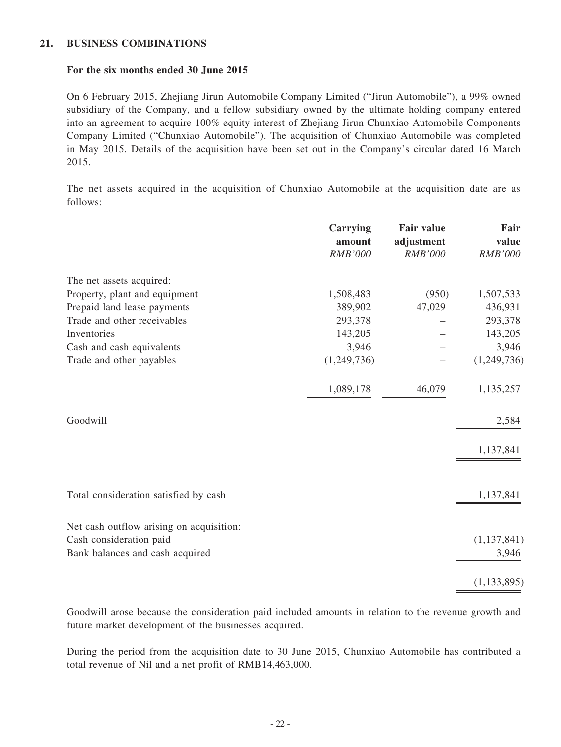### **21. BUSINESS COMBINATIONS**

#### **For the six months ended 30 June 2015**

On 6 February 2015, Zhejiang Jirun Automobile Company Limited ("Jirun Automobile"), a 99% owned subsidiary of the Company, and a fellow subsidiary owned by the ultimate holding company entered into an agreement to acquire 100% equity interest of Zhejiang Jirun Chunxiao Automobile Components Company Limited ("Chunxiao Automobile"). The acquisition of Chunxiao Automobile was completed in May 2015. Details of the acquisition have been set out in the Company's circular dated 16 March 2015.

The net assets acquired in the acquisition of Chunxiao Automobile at the acquisition date are as follows:

|                                          | Carrying<br>amount<br><b>RMB'000</b> | <b>Fair value</b><br>adjustment<br><b>RMB'000</b> | Fair<br>value<br>RMB'000 |
|------------------------------------------|--------------------------------------|---------------------------------------------------|--------------------------|
|                                          |                                      |                                                   |                          |
| The net assets acquired:                 |                                      |                                                   |                          |
| Property, plant and equipment            | 1,508,483                            | (950)                                             | 1,507,533                |
| Prepaid land lease payments              | 389,902                              | 47,029                                            | 436,931                  |
| Trade and other receivables              | 293,378                              |                                                   | 293,378                  |
| Inventories                              | 143,205                              |                                                   | 143,205                  |
| Cash and cash equivalents                | 3,946                                |                                                   | 3,946                    |
| Trade and other payables                 | (1,249,736)                          |                                                   | (1,249,736)              |
|                                          | 1,089,178                            | 46,079                                            | 1,135,257                |
| Goodwill                                 |                                      |                                                   | 2,584                    |
|                                          |                                      |                                                   | 1,137,841                |
| Total consideration satisfied by cash    |                                      |                                                   | 1,137,841                |
| Net cash outflow arising on acquisition: |                                      |                                                   |                          |
| Cash consideration paid                  |                                      |                                                   | (1,137,841)              |
| Bank balances and cash acquired          |                                      |                                                   | 3,946                    |
|                                          |                                      |                                                   | (1, 133, 895)            |

Goodwill arose because the consideration paid included amounts in relation to the revenue growth and future market development of the businesses acquired.

During the period from the acquisition date to 30 June 2015, Chunxiao Automobile has contributed a total revenue of Nil and a net profit of RMB14,463,000.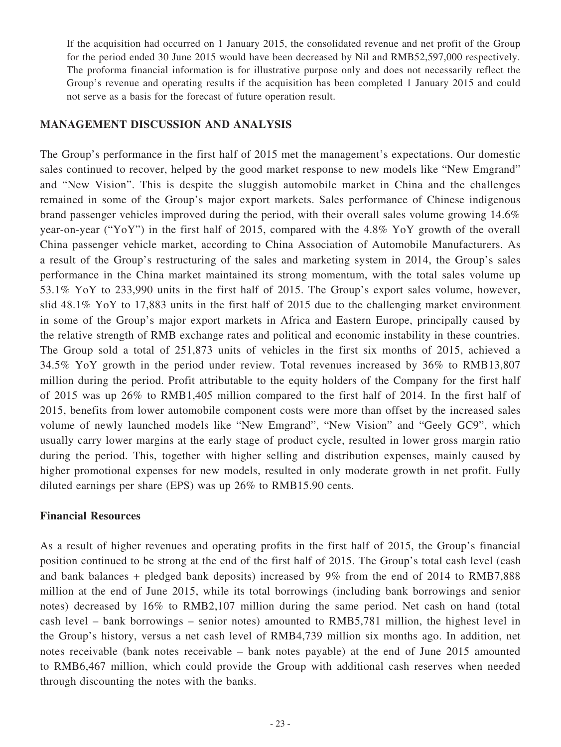If the acquisition had occurred on 1 January 2015, the consolidated revenue and net profit of the Group for the period ended 30 June 2015 would have been decreased by Nil and RMB52,597,000 respectively. The proforma financial information is for illustrative purpose only and does not necessarily reflect the Group's revenue and operating results if the acquisition has been completed 1 January 2015 and could not serve as a basis for the forecast of future operation result.

### **MANAGEMENT DISCUSSION AND ANALYSIS**

The Group's performance in the first half of 2015 met the management's expectations. Our domestic sales continued to recover, helped by the good market response to new models like "New Emgrand" and "New Vision". This is despite the sluggish automobile market in China and the challenges remained in some of the Group's major export markets. Sales performance of Chinese indigenous brand passenger vehicles improved during the period, with their overall sales volume growing 14.6% year-on-year ("YoY") in the first half of 2015, compared with the 4.8% YoY growth of the overall China passenger vehicle market, according to China Association of Automobile Manufacturers. As a result of the Group's restructuring of the sales and marketing system in 2014, the Group's sales performance in the China market maintained its strong momentum, with the total sales volume up 53.1% YoY to 233,990 units in the first half of 2015. The Group's export sales volume, however, slid 48.1% YoY to 17,883 units in the first half of 2015 due to the challenging market environment in some of the Group's major export markets in Africa and Eastern Europe, principally caused by the relative strength of RMB exchange rates and political and economic instability in these countries. The Group sold a total of 251,873 units of vehicles in the first six months of 2015, achieved a 34.5% YoY growth in the period under review. Total revenues increased by 36% to RMB13,807 million during the period. Profit attributable to the equity holders of the Company for the first half of 2015 was up 26% to RMB1,405 million compared to the first half of 2014. In the first half of 2015, benefits from lower automobile component costs were more than offset by the increased sales volume of newly launched models like "New Emgrand", "New Vision" and "Geely GC9", which usually carry lower margins at the early stage of product cycle, resulted in lower gross margin ratio during the period. This, together with higher selling and distribution expenses, mainly caused by higher promotional expenses for new models, resulted in only moderate growth in net profit. Fully diluted earnings per share (EPS) was up 26% to RMB15.90 cents.

### **Financial Resources**

As a result of higher revenues and operating profits in the first half of 2015, the Group's financial position continued to be strong at the end of the first half of 2015. The Group's total cash level (cash and bank balances + pledged bank deposits) increased by 9% from the end of 2014 to RMB7,888 million at the end of June 2015, while its total borrowings (including bank borrowings and senior notes) decreased by 16% to RMB2,107 million during the same period. Net cash on hand (total cash level – bank borrowings – senior notes) amounted to RMB5,781 million, the highest level in the Group's history, versus a net cash level of RMB4,739 million six months ago. In addition, net notes receivable (bank notes receivable – bank notes payable) at the end of June 2015 amounted to RMB6,467 million, which could provide the Group with additional cash reserves when needed through discounting the notes with the banks.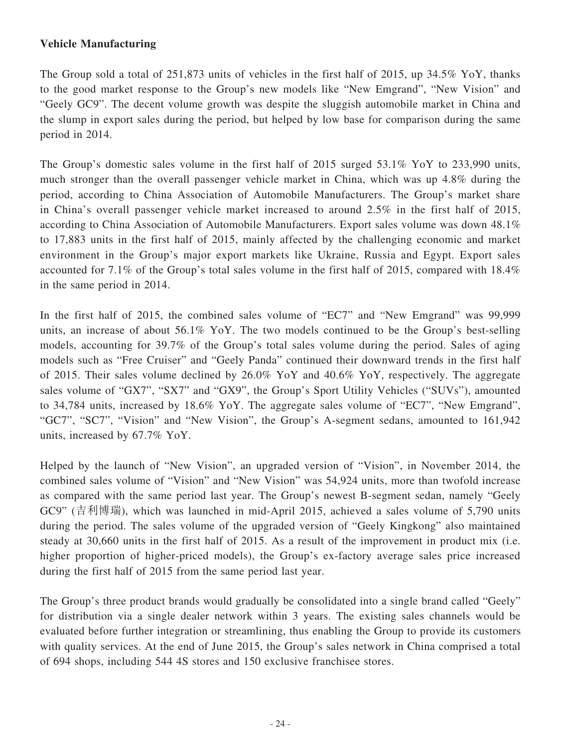### **Vehicle Manufacturing**

The Group sold a total of 251,873 units of vehicles in the first half of 2015, up 34.5% YoY, thanks to the good market response to the Group's new models like "New Emgrand", "New Vision" and "Geely GC9". The decent volume growth was despite the sluggish automobile market in China and the slump in export sales during the period, but helped by low base for comparison during the same period in 2014.

The Group's domestic sales volume in the first half of 2015 surged 53.1% YoY to 233,990 units, much stronger than the overall passenger vehicle market in China, which was up 4.8% during the period, according to China Association of Automobile Manufacturers. The Group's market share in China's overall passenger vehicle market increased to around 2.5% in the first half of 2015, according to China Association of Automobile Manufacturers. Export sales volume was down 48.1% to 17,883 units in the first half of 2015, mainly affected by the challenging economic and market environment in the Group's major export markets like Ukraine, Russia and Egypt. Export sales accounted for 7.1% of the Group's total sales volume in the first half of 2015, compared with 18.4% in the same period in 2014.

In the first half of 2015, the combined sales volume of "EC7" and "New Emgrand" was 99,999 units, an increase of about 56.1% YoY. The two models continued to be the Group's best-selling models, accounting for 39.7% of the Group's total sales volume during the period. Sales of aging models such as "Free Cruiser" and "Geely Panda" continued their downward trends in the first half of 2015. Their sales volume declined by 26.0% YoY and 40.6% YoY, respectively. The aggregate sales volume of "GX7", "SX7" and "GX9", the Group's Sport Utility Vehicles ("SUVs"), amounted to 34,784 units, increased by 18.6% YoY. The aggregate sales volume of "EC7", "New Emgrand", "GC7", "SC7", "Vision" and "New Vision", the Group's A-segment sedans, amounted to 161,942 units, increased by 67.7% YoY.

Helped by the launch of "New Vision", an upgraded version of "Vision", in November 2014, the combined sales volume of "Vision" and "New Vision" was 54,924 units, more than twofold increase as compared with the same period last year. The Group's newest B-segment sedan, namely "Geely GC9" (吉利博瑞), which was launched in mid-April 2015, achieved a sales volume of 5,790 units during the period. The sales volume of the upgraded version of "Geely Kingkong" also maintained steady at 30,660 units in the first half of 2015. As a result of the improvement in product mix (i.e. higher proportion of higher-priced models), the Group's ex-factory average sales price increased during the first half of 2015 from the same period last year.

The Group's three product brands would gradually be consolidated into a single brand called "Geely" for distribution via a single dealer network within 3 years. The existing sales channels would be evaluated before further integration or streamlining, thus enabling the Group to provide its customers with quality services. At the end of June 2015, the Group's sales network in China comprised a total of 694 shops, including 544 4S stores and 150 exclusive franchisee stores.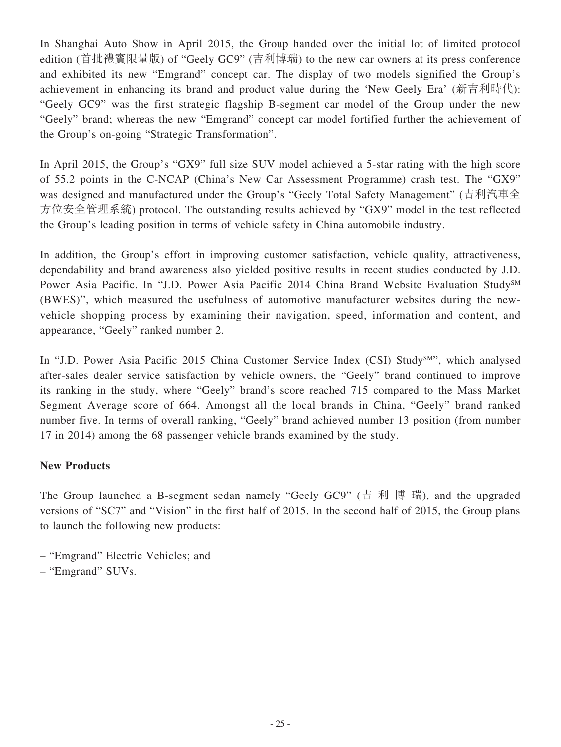In Shanghai Auto Show in April 2015, the Group handed over the initial lot of limited protocol edition (首批禮賓限量版) of "Geely GC9" (吉利博瑞) to the new car owners at its press conference and exhibited its new "Emgrand" concept car. The display of two models signified the Group's achievement in enhancing its brand and product value during the 'New Geely Era' (新吉利時代): "Geely GC9" was the first strategic flagship B-segment car model of the Group under the new "Geely" brand; whereas the new "Emgrand" concept car model fortified further the achievement of the Group's on-going "Strategic Transformation".

In April 2015, the Group's "GX9" full size SUV model achieved a 5-star rating with the high score of 55.2 points in the C-NCAP (China's New Car Assessment Programme) crash test. The "GX9" was designed and manufactured under the Group's "Geely Total Safety Management" (吉利汽車全 方位安全管理系統) protocol. The outstanding results achieved by "GX9" model in the test reflected the Group's leading position in terms of vehicle safety in China automobile industry.

In addition, the Group's effort in improving customer satisfaction, vehicle quality, attractiveness, dependability and brand awareness also yielded positive results in recent studies conducted by J.D. Power Asia Pacific. In "J.D. Power Asia Pacific 2014 China Brand Website Evaluation Study<sup>SM</sup> (BWES)", which measured the usefulness of automotive manufacturer websites during the newvehicle shopping process by examining their navigation, speed, information and content, and appearance, "Geely" ranked number 2.

In "J.D. Power Asia Pacific 2015 China Customer Service Index (CSI) Study<sup>SM"</sup>, which analysed after-sales dealer service satisfaction by vehicle owners, the "Geely" brand continued to improve its ranking in the study, where "Geely" brand's score reached 715 compared to the Mass Market Segment Average score of 664. Amongst all the local brands in China, "Geely" brand ranked number five. In terms of overall ranking, "Geely" brand achieved number 13 position (from number 17 in 2014) among the 68 passenger vehicle brands examined by the study.

### **New Products**

The Group launched a B-segment sedan namely "Geely GC9" (吉 利 博 瑞), and the upgraded versions of "SC7" and "Vision" in the first half of 2015. In the second half of 2015, the Group plans to launch the following new products:

- "Emgrand" Electric Vehicles; and
- "Emgrand" SUVs.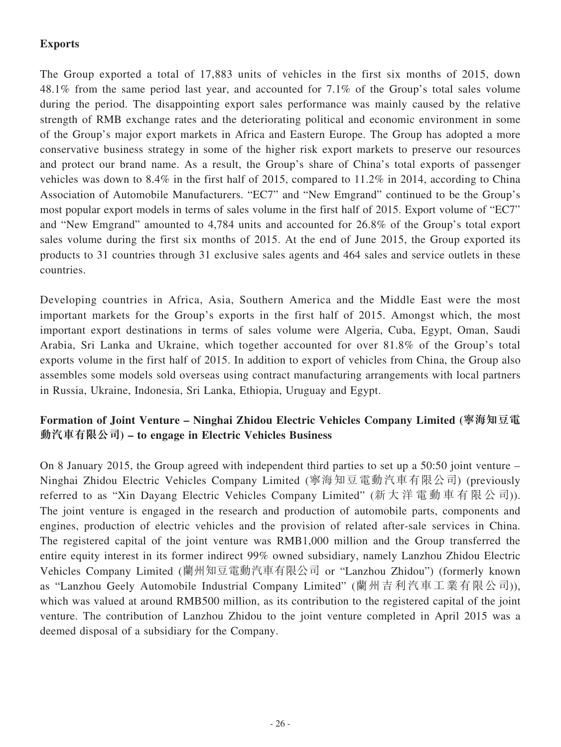# **Exports**

The Group exported a total of 17,883 units of vehicles in the first six months of 2015, down 48.1% from the same period last year, and accounted for 7.1% of the Group's total sales volume during the period. The disappointing export sales performance was mainly caused by the relative strength of RMB exchange rates and the deteriorating political and economic environment in some of the Group's major export markets in Africa and Eastern Europe. The Group has adopted a more conservative business strategy in some of the higher risk export markets to preserve our resources and protect our brand name. As a result, the Group's share of China's total exports of passenger vehicles was down to 8.4% in the first half of 2015, compared to 11.2% in 2014, according to China Association of Automobile Manufacturers. "EC7" and "New Emgrand" continued to be the Group's most popular export models in terms of sales volume in the first half of 2015. Export volume of "EC7" and "New Emgrand" amounted to 4,784 units and accounted for 26.8% of the Group's total export sales volume during the first six months of 2015. At the end of June 2015, the Group exported its products to 31 countries through 31 exclusive sales agents and 464 sales and service outlets in these countries.

Developing countries in Africa, Asia, Southern America and the Middle East were the most important markets for the Group's exports in the first half of 2015. Amongst which, the most important export destinations in terms of sales volume were Algeria, Cuba, Egypt, Oman, Saudi Arabia, Sri Lanka and Ukraine, which together accounted for over 81.8% of the Group's total exports volume in the first half of 2015. In addition to export of vehicles from China, the Group also assembles some models sold overseas using contract manufacturing arrangements with local partners in Russia, Ukraine, Indonesia, Sri Lanka, Ethiopia, Uruguay and Egypt.

# **Formation of Joint Venture – Ninghai Zhidou Electric Vehicles Company Limited (寧海知豆電 動汽車有限公司) – to engage in Electric Vehicles Business**

On 8 January 2015, the Group agreed with independent third parties to set up a 50:50 joint venture – Ninghai Zhidou Electric Vehicles Company Limited (寧海知豆電動汽車有限公司) (previously referred to as "Xin Dayang Electric Vehicles Company Limited" (新大洋電動車有限公司)). The joint venture is engaged in the research and production of automobile parts, components and engines, production of electric vehicles and the provision of related after-sale services in China. The registered capital of the joint venture was RMB1,000 million and the Group transferred the entire equity interest in its former indirect 99% owned subsidiary, namely Lanzhou Zhidou Electric Vehicles Company Limited (蘭州知豆電動汽車有限公司 or "Lanzhou Zhidou") (formerly known as "Lanzhou Geely Automobile Industrial Company Limited" (蘭州吉利汽車工業有限公司)), which was valued at around RMB500 million, as its contribution to the registered capital of the joint venture. The contribution of Lanzhou Zhidou to the joint venture completed in April 2015 was a deemed disposal of a subsidiary for the Company.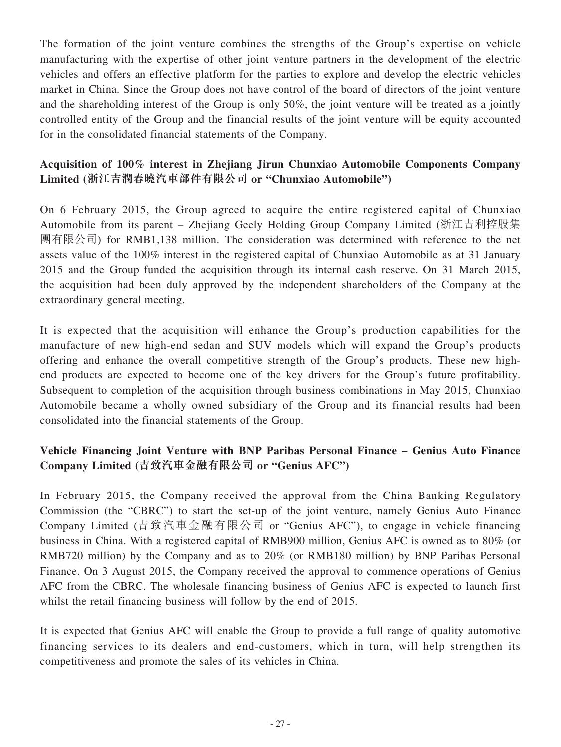The formation of the joint venture combines the strengths of the Group's expertise on vehicle manufacturing with the expertise of other joint venture partners in the development of the electric vehicles and offers an effective platform for the parties to explore and develop the electric vehicles market in China. Since the Group does not have control of the board of directors of the joint venture and the shareholding interest of the Group is only 50%, the joint venture will be treated as a jointly controlled entity of the Group and the financial results of the joint venture will be equity accounted for in the consolidated financial statements of the Company.

# **Acquisition of 100% interest in Zhejiang Jirun Chunxiao Automobile Components Company Limited (浙江吉潤春曉汽車部件有限公司 or "Chunxiao Automobile")**

On 6 February 2015, the Group agreed to acquire the entire registered capital of Chunxiao Automobile from its parent – Zhejiang Geely Holding Group Company Limited (浙江吉利控股集 團有限公司) for RMB1,138 million. The consideration was determined with reference to the net assets value of the 100% interest in the registered capital of Chunxiao Automobile as at 31 January 2015 and the Group funded the acquisition through its internal cash reserve. On 31 March 2015, the acquisition had been duly approved by the independent shareholders of the Company at the extraordinary general meeting.

It is expected that the acquisition will enhance the Group's production capabilities for the manufacture of new high-end sedan and SUV models which will expand the Group's products offering and enhance the overall competitive strength of the Group's products. These new highend products are expected to become one of the key drivers for the Group's future profitability. Subsequent to completion of the acquisition through business combinations in May 2015, Chunxiao Automobile became a wholly owned subsidiary of the Group and its financial results had been consolidated into the financial statements of the Group.

# **Vehicle Financing Joint Venture with BNP Paribas Personal Finance – Genius Auto Finance Company Limited (吉致汽車金融有限公司 or "Genius AFC")**

In February 2015, the Company received the approval from the China Banking Regulatory Commission (the "CBRC") to start the set-up of the joint venture, namely Genius Auto Finance Company Limited (吉致汽車金融有限公司 or "Genius AFC"), to engage in vehicle financing business in China. With a registered capital of RMB900 million, Genius AFC is owned as to 80% (or RMB720 million) by the Company and as to 20% (or RMB180 million) by BNP Paribas Personal Finance. On 3 August 2015, the Company received the approval to commence operations of Genius AFC from the CBRC. The wholesale financing business of Genius AFC is expected to launch first whilst the retail financing business will follow by the end of 2015.

It is expected that Genius AFC will enable the Group to provide a full range of quality automotive financing services to its dealers and end-customers, which in turn, will help strengthen its competitiveness and promote the sales of its vehicles in China.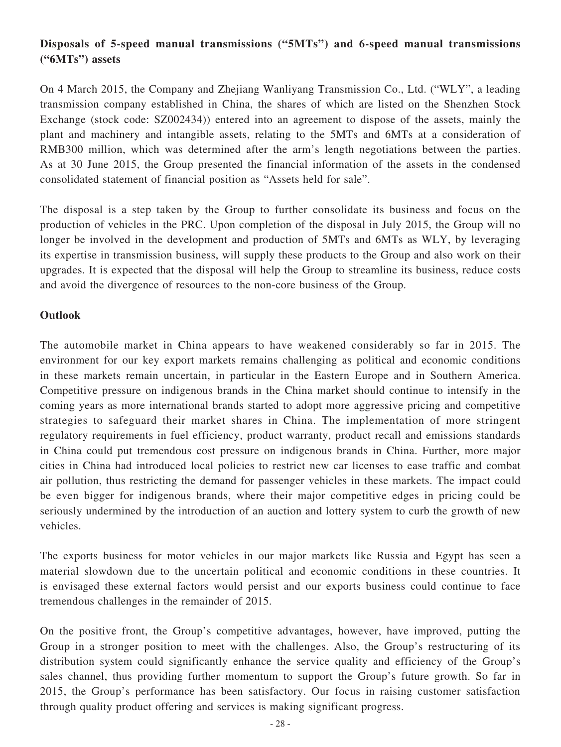# **Disposals of 5-speed manual transmissions ("5MTs") and 6-speed manual transmissions ("6MTs") assets**

On 4 March 2015, the Company and Zhejiang Wanliyang Transmission Co., Ltd. ("WLY", a leading transmission company established in China, the shares of which are listed on the Shenzhen Stock Exchange (stock code: SZ002434)) entered into an agreement to dispose of the assets, mainly the plant and machinery and intangible assets, relating to the 5MTs and 6MTs at a consideration of RMB300 million, which was determined after the arm's length negotiations between the parties. As at 30 June 2015, the Group presented the financial information of the assets in the condensed consolidated statement of financial position as "Assets held for sale".

The disposal is a step taken by the Group to further consolidate its business and focus on the production of vehicles in the PRC. Upon completion of the disposal in July 2015, the Group will no longer be involved in the development and production of 5MTs and 6MTs as WLY, by leveraging its expertise in transmission business, will supply these products to the Group and also work on their upgrades. It is expected that the disposal will help the Group to streamline its business, reduce costs and avoid the divergence of resources to the non-core business of the Group.

### **Outlook**

The automobile market in China appears to have weakened considerably so far in 2015. The environment for our key export markets remains challenging as political and economic conditions in these markets remain uncertain, in particular in the Eastern Europe and in Southern America. Competitive pressure on indigenous brands in the China market should continue to intensify in the coming years as more international brands started to adopt more aggressive pricing and competitive strategies to safeguard their market shares in China. The implementation of more stringent regulatory requirements in fuel efficiency, product warranty, product recall and emissions standards in China could put tremendous cost pressure on indigenous brands in China. Further, more major cities in China had introduced local policies to restrict new car licenses to ease traffic and combat air pollution, thus restricting the demand for passenger vehicles in these markets. The impact could be even bigger for indigenous brands, where their major competitive edges in pricing could be seriously undermined by the introduction of an auction and lottery system to curb the growth of new vehicles.

The exports business for motor vehicles in our major markets like Russia and Egypt has seen a material slowdown due to the uncertain political and economic conditions in these countries. It is envisaged these external factors would persist and our exports business could continue to face tremendous challenges in the remainder of 2015.

On the positive front, the Group's competitive advantages, however, have improved, putting the Group in a stronger position to meet with the challenges. Also, the Group's restructuring of its distribution system could significantly enhance the service quality and efficiency of the Group's sales channel, thus providing further momentum to support the Group's future growth. So far in 2015, the Group's performance has been satisfactory. Our focus in raising customer satisfaction through quality product offering and services is making significant progress.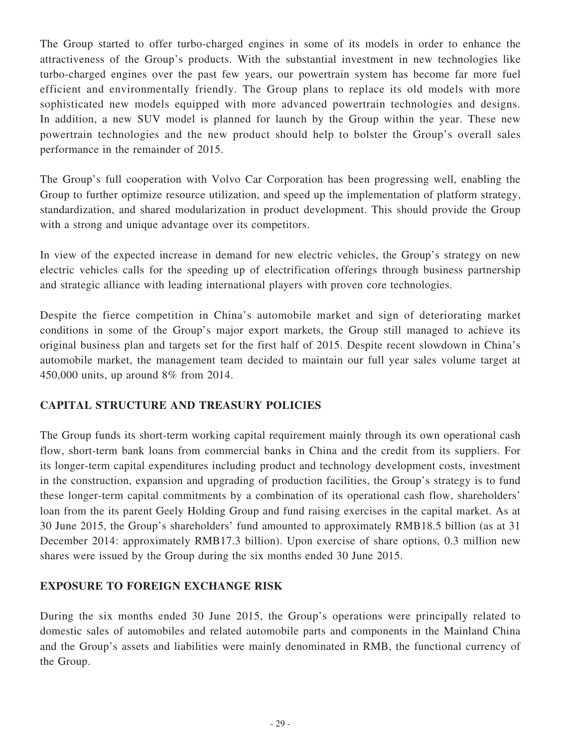The Group started to offer turbo-charged engines in some of its models in order to enhance the attractiveness of the Group's products. With the substantial investment in new technologies like turbo-charged engines over the past few years, our powertrain system has become far more fuel efficient and environmentally friendly. The Group plans to replace its old models with more sophisticated new models equipped with more advanced powertrain technologies and designs. In addition, a new SUV model is planned for launch by the Group within the year. These new powertrain technologies and the new product should help to bolster the Group's overall sales performance in the remainder of 2015.

The Group's full cooperation with Volvo Car Corporation has been progressing well, enabling the Group to further optimize resource utilization, and speed up the implementation of platform strategy, standardization, and shared modularization in product development. This should provide the Group with a strong and unique advantage over its competitors.

In view of the expected increase in demand for new electric vehicles, the Group's strategy on new electric vehicles calls for the speeding up of electrification offerings through business partnership and strategic alliance with leading international players with proven core technologies.

Despite the fierce competition in China's automobile market and sign of deteriorating market conditions in some of the Group's major export markets, the Group still managed to achieve its original business plan and targets set for the first half of 2015. Despite recent slowdown in China's automobile market, the management team decided to maintain our full year sales volume target at 450,000 units, up around 8% from 2014.

# **CAPITAL STRUCTURE AND TREASURY POLICIES**

The Group funds its short-term working capital requirement mainly through its own operational cash flow, short-term bank loans from commercial banks in China and the credit from its suppliers. For its longer-term capital expenditures including product and technology development costs, investment in the construction, expansion and upgrading of production facilities, the Group's strategy is to fund these longer-term capital commitments by a combination of its operational cash flow, shareholders' loan from the its parent Geely Holding Group and fund raising exercises in the capital market. As at 30 June 2015, the Group's shareholders' fund amounted to approximately RMB18.5 billion (as at 31 December 2014: approximately RMB17.3 billion). Upon exercise of share options, 0.3 million new shares were issued by the Group during the six months ended 30 June 2015.

# **EXPOSURE TO FOREIGN EXCHANGE RISK**

During the six months ended 30 June 2015, the Group's operations were principally related to domestic sales of automobiles and related automobile parts and components in the Mainland China and the Group's assets and liabilities were mainly denominated in RMB, the functional currency of the Group.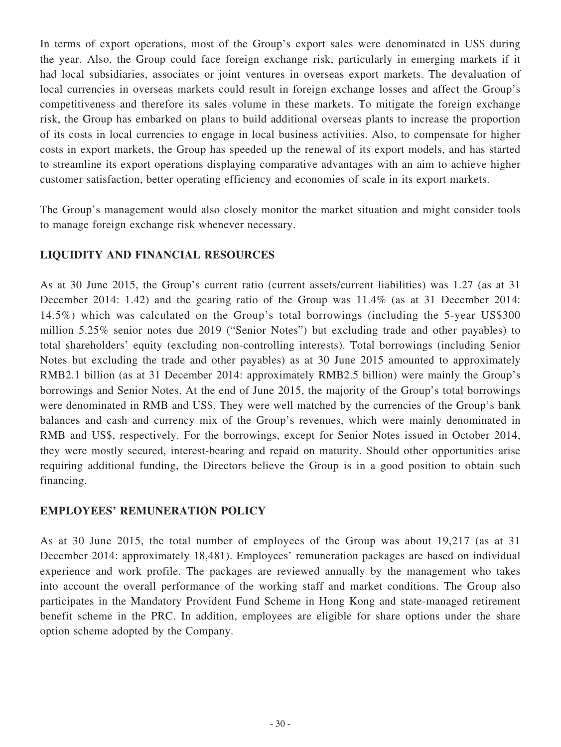In terms of export operations, most of the Group's export sales were denominated in US\$ during the year. Also, the Group could face foreign exchange risk, particularly in emerging markets if it had local subsidiaries, associates or joint ventures in overseas export markets. The devaluation of local currencies in overseas markets could result in foreign exchange losses and affect the Group's competitiveness and therefore its sales volume in these markets. To mitigate the foreign exchange risk, the Group has embarked on plans to build additional overseas plants to increase the proportion of its costs in local currencies to engage in local business activities. Also, to compensate for higher costs in export markets, the Group has speeded up the renewal of its export models, and has started to streamline its export operations displaying comparative advantages with an aim to achieve higher customer satisfaction, better operating efficiency and economies of scale in its export markets.

The Group's management would also closely monitor the market situation and might consider tools to manage foreign exchange risk whenever necessary.

### **LIQUIDITY AND FINANCIAL RESOURCES**

As at 30 June 2015, the Group's current ratio (current assets/current liabilities) was 1.27 (as at 31 December 2014: 1.42) and the gearing ratio of the Group was 11.4% (as at 31 December 2014: 14.5%) which was calculated on the Group's total borrowings (including the 5-year US\$300 million 5.25% senior notes due 2019 ("Senior Notes") but excluding trade and other payables) to total shareholders' equity (excluding non-controlling interests). Total borrowings (including Senior Notes but excluding the trade and other payables) as at 30 June 2015 amounted to approximately RMB2.1 billion (as at 31 December 2014: approximately RMB2.5 billion) were mainly the Group's borrowings and Senior Notes. At the end of June 2015, the majority of the Group's total borrowings were denominated in RMB and US\$. They were well matched by the currencies of the Group's bank balances and cash and currency mix of the Group's revenues, which were mainly denominated in RMB and US\$, respectively. For the borrowings, except for Senior Notes issued in October 2014, they were mostly secured, interest-bearing and repaid on maturity. Should other opportunities arise requiring additional funding, the Directors believe the Group is in a good position to obtain such financing.

### **EMPLOYEES' REMUNERATION POLICY**

As at 30 June 2015, the total number of employees of the Group was about 19,217 (as at 31 December 2014: approximately 18,481). Employees' remuneration packages are based on individual experience and work profile. The packages are reviewed annually by the management who takes into account the overall performance of the working staff and market conditions. The Group also participates in the Mandatory Provident Fund Scheme in Hong Kong and state-managed retirement benefit scheme in the PRC. In addition, employees are eligible for share options under the share option scheme adopted by the Company.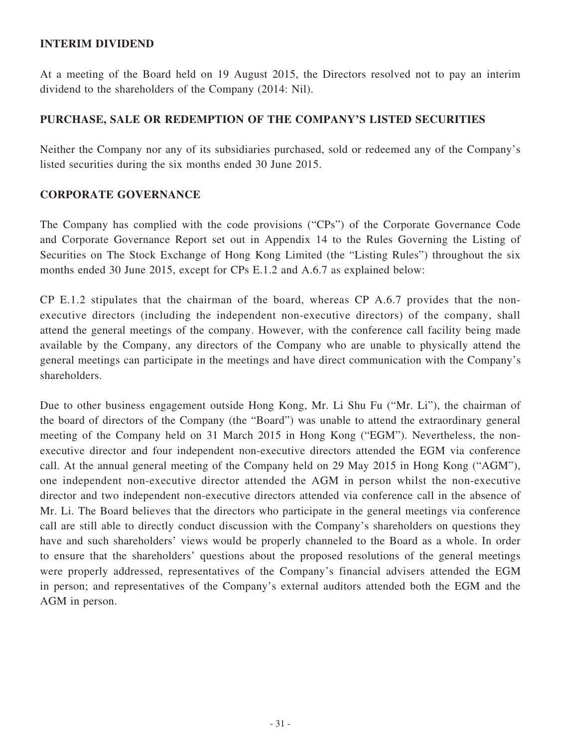### **INTERIM DIVIDEND**

At a meeting of the Board held on 19 August 2015, the Directors resolved not to pay an interim dividend to the shareholders of the Company (2014: Nil).

### **PURCHASE, SALE OR REDEMPTION OF THE COMPANY'S LISTED SECURITIES**

Neither the Company nor any of its subsidiaries purchased, sold or redeemed any of the Company's listed securities during the six months ended 30 June 2015.

### **CORPORATE GOVERNANCE**

The Company has complied with the code provisions ("CPs") of the Corporate Governance Code and Corporate Governance Report set out in Appendix 14 to the Rules Governing the Listing of Securities on The Stock Exchange of Hong Kong Limited (the "Listing Rules") throughout the six months ended 30 June 2015, except for CPs E.1.2 and A.6.7 as explained below:

CP E.1.2 stipulates that the chairman of the board, whereas CP A.6.7 provides that the nonexecutive directors (including the independent non-executive directors) of the company, shall attend the general meetings of the company. However, with the conference call facility being made available by the Company, any directors of the Company who are unable to physically attend the general meetings can participate in the meetings and have direct communication with the Company's shareholders.

Due to other business engagement outside Hong Kong, Mr. Li Shu Fu ("Mr. Li"), the chairman of the board of directors of the Company (the "Board") was unable to attend the extraordinary general meeting of the Company held on 31 March 2015 in Hong Kong ("EGM"). Nevertheless, the nonexecutive director and four independent non-executive directors attended the EGM via conference call. At the annual general meeting of the Company held on 29 May 2015 in Hong Kong ("AGM"), one independent non-executive director attended the AGM in person whilst the non-executive director and two independent non-executive directors attended via conference call in the absence of Mr. Li. The Board believes that the directors who participate in the general meetings via conference call are still able to directly conduct discussion with the Company's shareholders on questions they have and such shareholders' views would be properly channeled to the Board as a whole. In order to ensure that the shareholders' questions about the proposed resolutions of the general meetings were properly addressed, representatives of the Company's financial advisers attended the EGM in person; and representatives of the Company's external auditors attended both the EGM and the AGM in person.